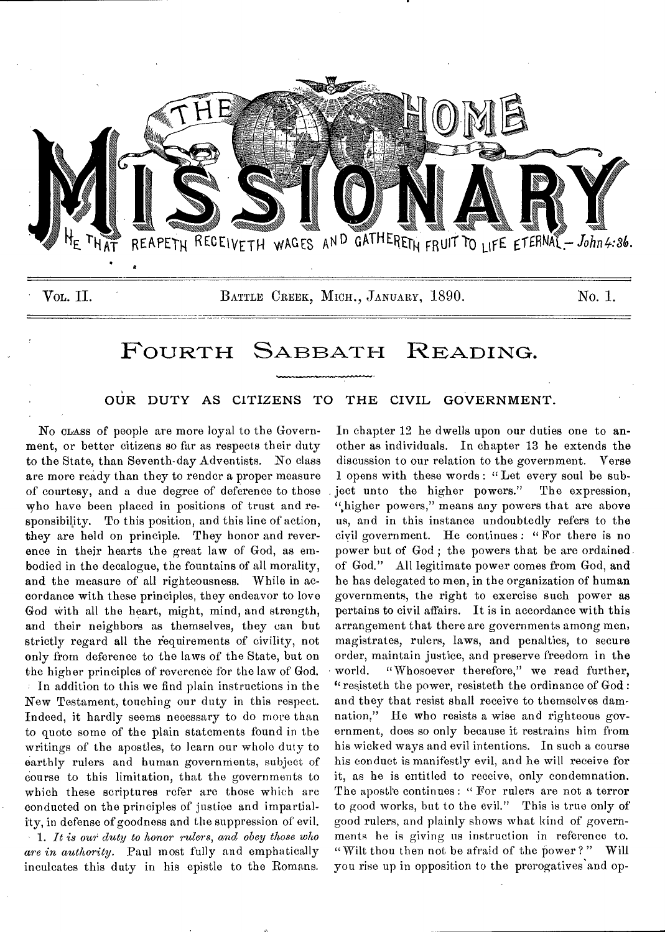

# FOURTH SABBATH READING.

# OUR DUTY AS CITIZENS TO THE CIVIL GOVERNMENT.

No CLASS of people are more loyal to the Government, or better citizens so far as respects their duty to the State, than Seventh-day Adventists. No class are more ready than they to render a proper measure of courtesy, and a due degree of deference to those who have been placed in positions of trust and responsibility. To this position, and this line of action, they are held on principle. They honor and reverence in their hearts the great law of God, as embodied in the decalogue, the fountains of all morality, and the measure of all righteousness. While in accordance with these principles, they endeavor to love God with all the heart, might, mind, and strength, and their neighbors as themselves, they can but strictly regard all the requirements of civility, not only from deference to the laws of the State, but on the higher principles of reverence for the law of God. In addition to this we find plain instructions in the New Testament, touching our duty in this respect. Indeed, it hardly seems necessary to do more than to quote some of the plain statements found in the writings of the apostles, to learn our whole duty to earthly rulers and human governments, subject of course to this limitation, that the governments to which these scriptures refer are those which are conducted on the principles of justice and impartiality, in defense of goodness and the suppression of evil. 1. *It is our duty to honor rulers, and obey those who are in authority.* Paul most fully and emphatically inculcates this duty in his epistle to the Romans.

In chapter 12 he dwells upon our duties one to another as individuals. In chapter 13 he extends the discussion to our relation to the government. Verse 1 opens with these words : " Let every soul be subject unto the higher powers." The expression, "higher powers," means any powers that are above us, and in this instance undoubtedly refers to the civil government. He continues: "For there is no power but of God ; the powers that be are ordained. of God." All legitimate power comes from God, and he has delegated to men, in the organization of human governments, the right to exercise such power as pertains to civil affairs. It is in accordance with this arrangement that there are governments among men, magistrates, rulers, laws, and penalties, to secure order, maintain justice, and preserve freedom in the world. "Whosoever therefore," we read further, "resisteth the power, resisteth the ordinance of God: and they that resist shall receive to themselves damnation," He who resists a wise and righteous government, does so only because it restrains him from his wicked ways and evil intentions. In such a course his conduct is manifestly evil, and he will receive for it, as he is entitled to receive, only condemnation. The apostle continues : " For rulers are not a terror to good works, but to the evil." This is true only of good rulers, and plainly shows what kind of governments he is giving us instruction in reference to. " Wilt thou then not be afraid of the power?" Will you rise up in opposition to the prerogatives'and op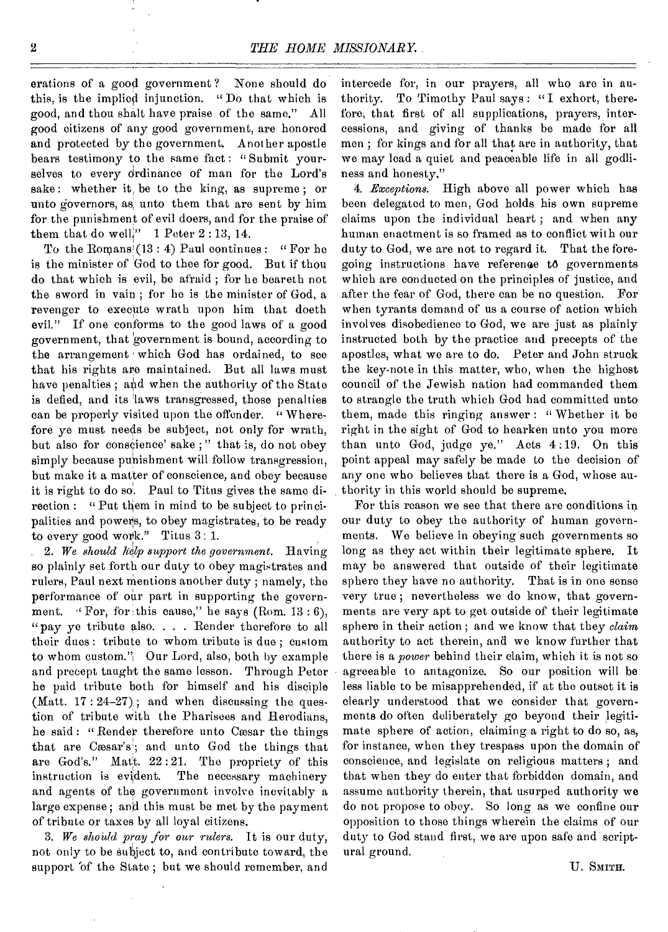erations of a good government ? None should do this, is the implied injunction. " Do that which is good, and thou shalt have praise of the same." All good citizens of any good government, are honored and protected by the government. Another apostle bears testimony to the same fact: "Submit yourselves to every ordinance of man for the Lord's sake : whether it, be to the king, as supreme ; or unto governors, as, unto them that are sent by him for the punishment of evil doers, and for the praise of them that do well<sup>1</sup>' 1 Peter 2:13, 14.

To the Romans<sup>i</sup> $(13:4)$  Paul continues: "For he is the minister of God to thee for good. But if thou do that which is evil, be afraid ; for he beareth not the sword in vain ; for he is the minister of God, a revenger to execute wrath upon him that doeth evil." If one conforms to the good laws of a good government, that government is bound, according to the arrangement which God has ordained, to see that his rights are maintained. But all laws must have penalties ; and when the authority of the State is defied, and its 'laws transgressed, those penalties can be properly visited upon the offender. "Wherefore ye must needs be subject, not only for wrath, but also for conscience' sake ; " that is, do not obey simply because punishment will follow transgression, but make it a matter of conscience, and obey because it is right to do so. Paul to Titus gives the same direction : "Put them in mind to be subject to principalities and powers, to obey magistrates, to be ready to every good work." Titus 3: 1.

*2. We should help support the government.* Having so plainly set forth our duty to obey magistrates and rulers, Paul next mentions another duty ; namely, the performance of our part in supporting the government. "For, for this cause," he says (Rom. 13:6), "pay ye tribute also. . . . Render therefore to all their dues: tribute to whom tribute is due; custom to whom custom."; Our Lord, also, both by example and precept taught the same lesson. Through Peter he paid tribute both for himself and his disciple (Matt.  $17:24-27$ ); and when discussing the question of tribute with the Pharisees and Herodians, he said: "Render therefore unto Cæsar the things that are Cæsar's'; and unto God the things that are God's." Mat<sup>t</sup>. 22:21. The propriety of this instruction is evident. The necessary machinery The necessary machinery and agents of the government involve inevitably a large expense; and this must be met by the payment of tribute or taxes by all loyal citizens.

3. We should pray for our rulers. It is our duty, not only to be subject to, and contribute toward, the support of the State; but we should remember, and

intercede for, in our prayers, all who are in authority. To Timothy Paul says: "I exhort, therefore, that first of all supplications, prayers, intercessions, and giving of thanks be made for all men ; for kings and for all that are in authority, that we may load a quiet and peaceable life in all godliness and honesty."

*4. Exceptions.* High above all power which has been delegated to men, God holds his own supreme claims upon the individual heart ; and when any human enactment is so framed as to conflict with our duty to God, we are not to regard it. That the foregoing instructions have reference to governments which are conducted on the principles of justice, and after the fear of God, there can be no question. For when tyrants demand of us a course of action which involves disobedience to God, we are just as plainly instructed both by the practice and precepts of the apostles, what we are to do. Peter and John struck the key-note in this matter, who, when the highest council of the Jewish nation had commanded them to strangle the truth which God had committed unto them, made this ringing answer : " Whether it be right in the sight of God to hearken unto you more than unto God, judge ye." Acts 4 :19. On this point appeal may safely be made to the decision of any ono who believes that there is a God, whose authority in this world should be supreme.

For this reason we see that there are conditions in our duty to obey the authority of human governments. We believe in obeying such governments so long as they act within their legitimate sphere. It may be answered that outside of their legitimate sphere they have no authority. That is in one sense very true ; nevertheless we do know, that governments are very apt to get outside of their legitimate sphere in their action ; and we know that they *claim*  authority to act therein, and we know further that there is a *power* behind their claim, which it is not so agreeable to antagonize. So our position will be less liable to be misapprehended, if at the outset it is clearly understood that we consider that governments do often deliberately go beyond their legitimate sphere of action, claiming a right to do so, as, for instance, when they trespass upon the domain of conscience, and legislate on religious matters ; and that when they do enter that forbidden domain, and assume authority therein, that usurped authority we do not propose to obey. So long as we confine our opposition to those things wherein the claims of our duty to God stand first, we are upon safe and scriptural ground.

U. SMITH.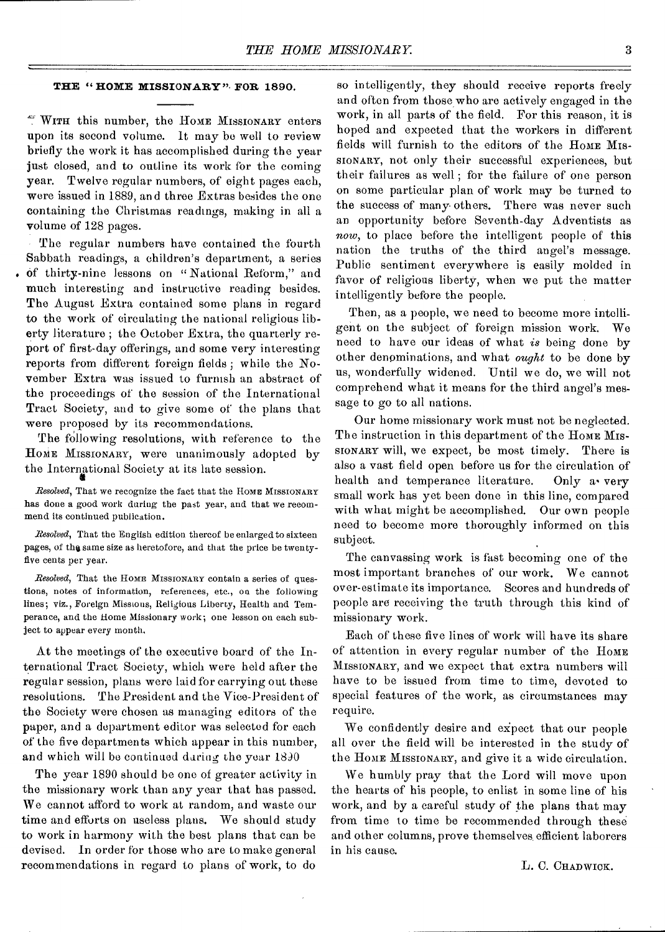## **THE " HOME MISSIONARY",FOR 1890.**

WITH this number, the HOME MISSIONARY enters upon its second volume. It may be well to review briefly the work it has accomplished during the year just closed, and to outline its work for the coming year. Twelve regular numbers, of eight pages each, were issued in 1889, and three Extras besides the one containing the Christmas readings, making in all a volume of 128 pages.

The regular numbers have contained the fourth Sabbath readings, a children's department, a series of thirty-nine lessons on "National Reform," and much interesting and instructive reading besides. The August Extra contained some plans in regard to the work of circulating the national religious liberty literature ; the October Extra, the quarterly report of first-day offerings, and some very interesting reports from different foreign fields ; while the November Extra was issued to furnish an abstract of the proceedings of the session of the International Tract Society, and to give some of the plans that were proposed by its recommendations.

The following resolutions, with reference to the HOME MISSIONARY, were unanimously adopted by the International Society at its late session.

*Resolved,* That we recognize the fact that the HOME MISSIONARY has done a good work during the past year, and that we recommend its continued publication.

*Resolved,* That the English edition thereof be enlarged to sixteen pages, of thg same size as heretofore, and that the price be twentyfive cents per year.

*Resolved,* That the Home MISSIONARY contain a series of questions, notes of information, references, etc., on the following lines; viz., Foreign Missions, Religious Liberty, Health and Temperance, and the Home Missionary work; one lesson on each subject to appear every month.

At the meetings of the executive board of the International Tract Society, which were held after the regular session, plans were laid for carrying out these resolutions. The President and the Vice-President of the Society were chosen as managing editors of the paper, and a department editor was selected for each of the five departments which appear in this number, and which will be continued during the year 1890

The year 1890 should be one of greater activity in the missionary work than any year that has passed. We cannot afford to work at random, and waste our time and efforts on useless plans. We should study to work in harmony with the best plans that can be devised. In order for those who are to make general recommendations in regard to plans of work, to do

so intelligently, they should receive reports freely and often from those who are actively engaged in the work, in all parts of the field. For this reason, it is hoped and expected that the workers in different fields will furnish to the editors of the HOME MIS-SIONARY, not only their successful experiences, but their failures as well ; for the failure of one person on some particular plan of work may be turned to the success of many others. There was never such an opportunity before Seventh-day Adventists as *now,* to place before the intelligent people of this nation the truths of the third angel's message. Public sentiment everywhere is easily molded in favor of religious liberty, when we put the matter intelligently before the people.

Then, as a people, we need to become more intelligent on the subject of foreign mission work. We need to have our ideas of what *is* being done by other denominations, and what *ought* to be done by us, wonderfully widened. Until we do, we will not comprehend what it means for the third angel's message to go to all nations.

Our home missionary work must not be neglected. The instruction in this department of the HOME MIS-SIONARY will, we expect, be most timely. There is also a vast field open before us for the circulation of health and temperance literature. Only a• very small work has yet been done in this line, compared with what might be accomplished. Our own people need to become more thoroughly informed on this subject.

The canvassing work is fast becoming one of the most important branches of our work. We cannot over-estimate its importance. Scores and hundreds of people are receiving the truth through this kind of missionary work.

Each of these five lines of work will have its share of attention in every regular number of the HOME MISSIONARY, and we expect that extra numbers will have to be issued from time to time, devoted to special features of the work, as circumstances may require.

We confidently desire and expect that our people all over the field will be interested in the study of the HOME MISSIONARY, and give it a wide circulation.

We humbly pray that the Lord will move upon the hearts of his people, to enlist in some line of his work, and by a careful study of the plans that may from time to time be recommended through these and other columns, prove themselves efficient laborers in his cause.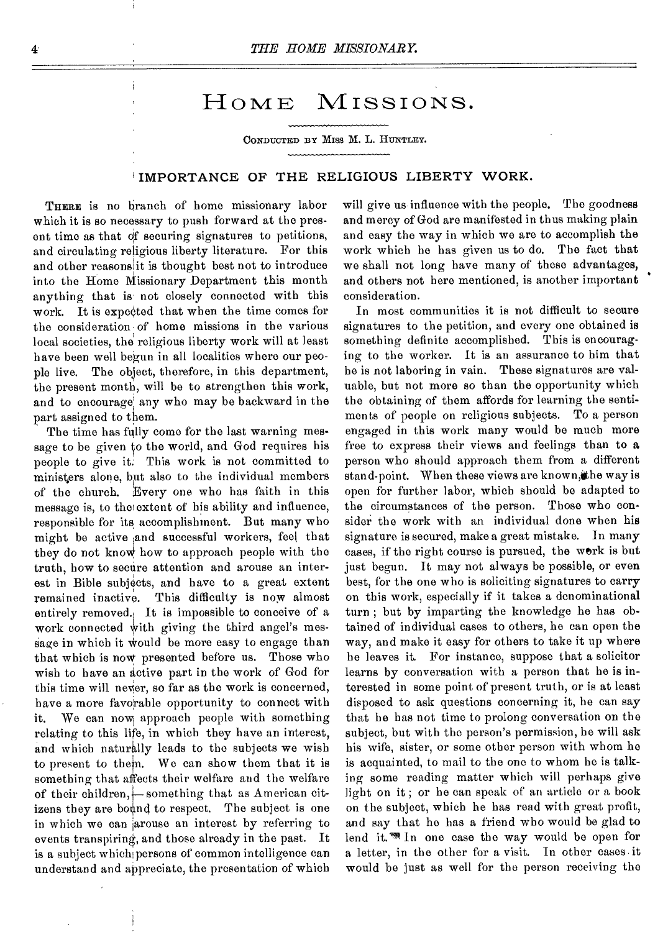# HOME MISSIONS.

CONDUCTED BY Miss M. L. HUNTLEY.

## **IMPORTANCE OF THE RELIGIOUS LIBERTY WORK.**

THERE is no branch of home missionary labor which it is so necessary to push forward at the present time as that of securing signatures to petitions, and circulating religious liberty literature. For this and other reasons it is thought best not to introduce into the Home Missionary Department this month anything that is not closely connected with this work. It is expected that when the time comes for the consideration:of home missions in the various local societies, the religious liberty work will at least have been well begun in all localities where our people live. The object, therefore, in this department, the present month, will be to strengthen this work, and to encourage any who may be backward in the part assigned to them.

The time has fully come for the last warning message to be given to the world, and God requires his people to give it. This work is not committed to ministers alone, but also to the individual members of the church. Every one who has faith in this message is, to the! extent of his ability and influence, responsible for its accomplishment. But many who might be active :and successful workers, feel that they do not know how to approach people with the truth, how to secure attention and arouse an interest in Bible subjects, and have to a great extent remained inactive. This difficulty is now almost entirely removed. It is impossible to conceive of a work connected with giving the third angel's message in which it would be more easy to engage than that which is now presented before us. Those who wish to have an active part in the work of God for this time will never, so far as the work is concerned, have a more favorable opportunity to connect with it. We can now approach people with something relating to this life, in which they have an interest, and which naturally leads to the subjects we wish to present to them. We can show them that it is something that affects their welfare and the welfare of their children, something that as American citizens they are bound to respect. The subject is one in which we can jarouse an interest by referring to events transpiring, and those already in the past. It is a subject which persons of common intelligence can understand and appreciate, the presentation of which

will give us influence with the people. The goodness and mercy of God are manifested in thus making plain and easy the way in which we are to accomplish the work which he has given us to do. The fact that we shall not long have many of these advantages, and others not here mentioned, is another important consideration.

In most communities it is not difficult to secure signatures to the petition, and every one obtained is something definite accomplished. This is encouraging to the worker. It is an assurance to him that he is not laboring in vain. These signatures are valuable, but not more so than the opportunity which the obtaining of them affords for learning the sentiments of people on religious subjects. To a person engaged in this work many would be much more free to express their views and feelings than to a person who should approach them from a different stand-point. When these views are known, the way is open for further labor, which should be adapted to the circumstances of the person. Those who consider the work with an individual done when his signature is secured, make a great mistake. In many cases, if the right course is pursued, the werk is but just begun. It may not always be possible, or even best, for the one who is soliciting signatures to carry on this work, especially if it takes a denominational turn ; but by imparting the knowledge he has obtained of individual cases to others, he can open the way, and make it easy for others to take it up where he leaves it. For instance, suppose that a solicitor learns by conversation with a person that he is interested in some point of present truth, or is at least disposed to ask questions concerning it, he can say that he has not time to prolong conversation on the subject, but with the person's permission, he will ask his wife, sister, or some other person with whom he is acquainted, to mail to the one to whom he is talking some reading matter which will perhaps give light on it ; or he can speak of an article or a book on the subject, which he has read with great profit, and say that ho has a friend who would be glad to lend it.<sup>Wh</sup> In one case the way would be open for a letter, in the other for a visit. In other cases it would be just as well for the person receiving the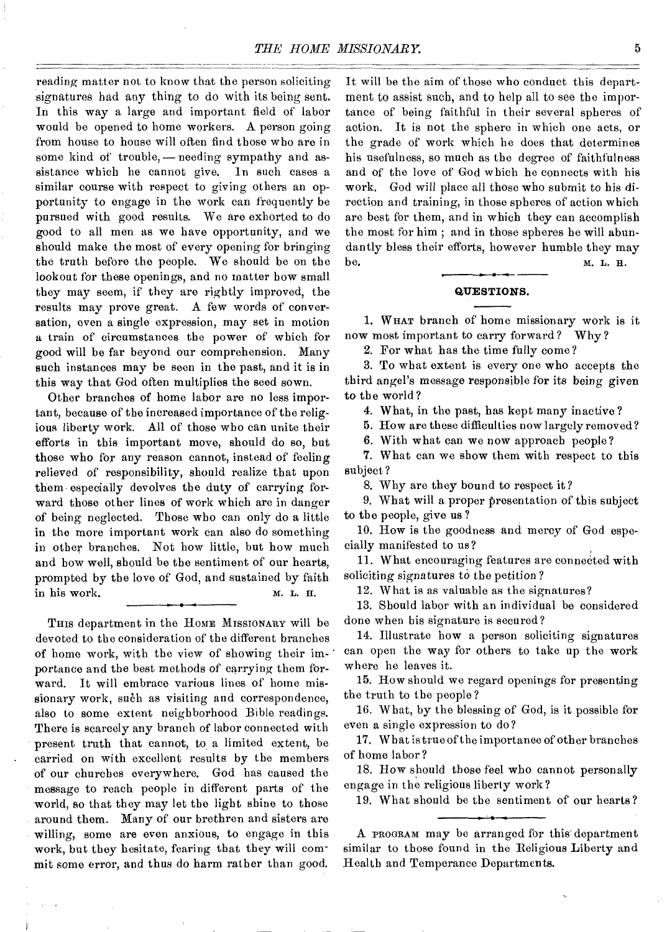reading matter not to know that the person soliciting signatures had any thing to do with its being sent. In this way a large and important field of labor would be opened to home workers. A person going from house to house will often find those who are in some kind of trouble, — needing sympathy and assistance which he cannot give. In such cases a similar course with respect to giving others an opportunity to engage in the work can frequently be pursued with good results. We are exhorted to do good to all men as we have opportunity, and we should make the most of every opening for bringing the truth before the people. We should be on the lookout for these openings, and no matter how small they may seem, if they are rightly improved, the results may prove great. A few words of conversation, even a single expression, may set in motion a train of circumstances the power of which for good will be far beyond our comprehension. Many such instances may be seen in the past, and it is in this way that God often multiplies the seed sown.

Other branches of home labor are no less important, because of the increased importance of the religious liberty work. All of those who can unite their efforts in this important move, should do so, but those who for any reason cannot, instead of feeling relieved of responsibility, should realize that upon them especially devolves the duty of carrying forward those other lines of work which are in danger of being neglected. Those who can only do a little in the more important work can also do something in other branches. Not how little, but how much and how well, should be the sentiment of our hearts, prompted by the love of God, and sustained by faith in his work. M. L. H.

THIS department in the HOME MISSIONARY will be devoted to the consideration of the different branches of home work, with the view of showing their importance and the best methods of carrying them forward. It will embrace various lines of home missionary work, such as visiting and correspondence, also to some extent neighborhood Bible readings. There is scarcely any branch of labor connected with present truth that cannot, to a limited extent, be carried on with excellent results by the members of our churches everywhere. God has caused the message to reach people in different parts of the world, so that they may let the light shine to those around them. Many of our brethren and sisters are willing, some are even anxious, to engage in this work, but they hesitate, fearing that they will commit some error, and thus do harm rather than good.

It will be the aim of those who conduct this department to assist such, and to help all to see the importance of being faithful in their several spheres of action. It is not the sphere in which one acts, or the grade of work which he does that determines his usefulness, so much as the degree of faithfulness and of the love of God which he connects with his work, God will place all those who submit to his direction and training, in those spheres of action which are best for them, and in which they can accomplish the most for him ; and in those spheres he will abundantly bless their efforts, however humble they may be. **M. L. H.** 

**QUESTIONS.** 

1. WHAT branch of home missionary work is it now most important to carry forward ? Why ?

2. For what has the time fully come?

3. To what extent is every one who accepts the third angel's message responsible for its being given to the world?

4. What, in the past, has kept many inactive ?

5. How are these difficulties now largely removed?

6. With what can we now approach people?

7. What can we show them with respect to this subject?

8. Why are they bound to respect it?

9. What will a proper presentation of this subject to the people, give us?

10. How is the goodness and mercy of God especially manifested to us?

11. What encouraging features are connected with soliciting signatures to the petition?

12. What is as valuable as the signatures?

13. Should labor with an individual be considered done when his signature is secured?

14. Illustrate how a person soliciting signatures can open the way for others to take up the work where he leaves it.

15. How should we regard openings for presenting the truth to the people ?

16. What, by the blessing of God, is it possible for even a single expression to do?

17. What is true of the importance of other branches of home labor?

18. How should those feel who cannot personally engage in the religious liberty work?

19. What should be the sentiment of our hearts?

A PROGRAM may be arranged for this department similar to those found in the Religious Liberty and Health and Temperance Departments.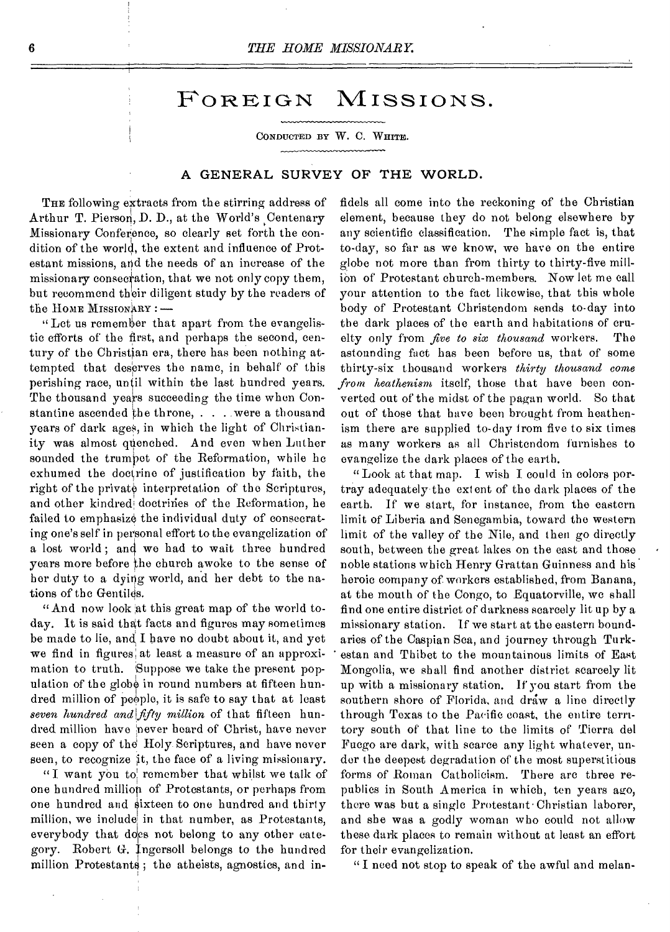# FOREIGN MISSIONS.

CONDUCTED BY W. C. WHITE.

## A GENERAL SURVEY OF THE WORLD.

THE following extracts from the stirring address of Arthur T. Pierson, D. D., at the World's Centenary Missionary Conference, so clearly set forth the condition of the world, the extent and influence of Protestant missions, and the needs of an increase of the missionary consecration, that we not only copy them, but recommend their diligent study by the readers of the HOME MISSIONARY : —

" Let us remember that apart from the evangelistic efforts of the first, and perhaps the second, century of the Christian era, there has been nothing attempted that deserves the name, in behalf of this perishing race, until within the last hundred years. The thousand years succeeding the time when Constantine ascended the throne, . . . were a thousand years of dark ages, in which the light of Christianity was almost quenched. And even when Luther sounded the trumpet of the Reformation, while he exhumed the doctrine of justification by faith, the right of the private interpretation of the Scriptures, and other kindred doctrines of the Reformation, he failed to emphasize the individual duty of consecrating one's self in personal effort to the evangelization of a lost world ; and wo had to wait three hundred years more before the church awoke to the sense of her duty to a dying world, and her debt to the nations of the Gentiles.

"And now look at this great map of the world today. It is said that facts and figures may sometimes be made to lie, and I have no doubt about it, and yet we find in figures at least a measure of an approximation to truth. Suppose we take the present population of the globe in round numbers at fifteen hundred million of people, it is safe to say that at least *seven hundred andliffty million* of that fifteen hundred million have 'never heard of Christ, have never seen a copy of the Holy Scriptures, and have never seen, to recognize it, the face of a living missionary.

"I want you to! remember that whilst we talk of one hundred million of Protestants, or perhaps from one hundred and sixteen to one hundred and thirty million, we include in that number, as Protestants, everybody that does not belong to any other category. Robert G. Ingersoll belongs to the hundred million Protestants; the atheists, agnostics, and in-

fidels all come into the reckoning of the Christian element, because they do not belong elsewhere by any scientific classification. The simple fact is, that to-day, so far as we know, we have on the entire globe not more than from thirty to thirty-five million of Protestant church-members. Now let me call your attention to the fact likewise, that this whole body of Protestant Christendom sends to-day into the dark places of the earth and habitations of cruelty only from *five to six thousand* workers. The astounding fact has been before us, that of some thirty-six thousand workers *thirty thousand come from heathenism* itself, those that have been converted out of the midst of the pagan world. So that out of those that have been brought from heathenism there are supplied to-day from five to six times as many workers as all Christendom furnishes to evangelize the dark places of the earth.

"Look at that map. I wish I could in colors portray adequately the extent of the dark places of the earth. If we start, for instance, from the eastern limit of Liberia and Senegambia, toward the western limit of the valley of the Nile, and then go directly south, between the great lakes on the east and those noble stations which Henry Grattan Guinness and his. heroic company of. workers established, from Banana, at the mouth of the Congo, to Equatorville, we shall find one entire district of darkness scarcely lit up by a missionary station. If we start at the eastern boundaries of the Caspian Sea, and journey through Turkestan and Tbibet to the mountainous limits of East Mongolia, we shall find another district scarcely lit up with a missionary station. if you start from the southern shore of Florida, and draw a line directly through Texas to the Pacific coast, the entire territory south of that line to the limits of Tierra del Fuego are dark, with scarce any light whatever, under the deepest degradation of the most superstitious forms of Roman Catholicism. There are three republics in South America in which, ten years ago, there was but a single Protestant Christian laborer, and she was a godly woman who could not allow these dark places to remain without at least an effort for their evangelization.

"I need not stop to speak of the awful and melan-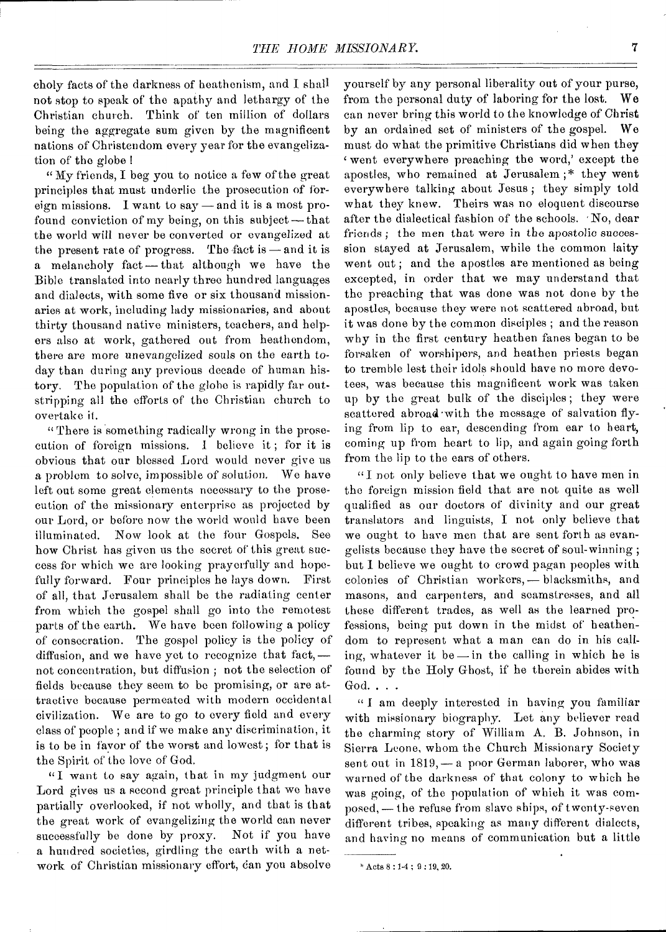choly facts of the darkness of heathenism, and I shall not stop to speak of the apathy and lethargy of the Christian church. Think of ton million of dollars being the aggregate sum given by the magnificent nations of Christendom every year for the evangelization of the globe !

"My friends, I beg you to notice a few of the great principles that must underlie the prosecution of foreign missions. I want to say — and it is a most profound conviction of my being, on this subject— that the world will never be converted or evangelized at the present rate of progress. The fact is  $-$  and it is a melancholy fact—that although we have the Bible translated into nearly three hundred languages and dialects, with some five or six thousand missionaries at work, including lady missionaries, and about thirty thousand native ministers, teachers, and helpers also at work, gathered out from heathendom, there are more unevangelized souls on the earth today than during any previous decade of human history. The population of the globe is rapidly far outstripping all the efforts of the Christian church to overtake it.

" There is something radically wrong in the prosecution of foreign missions. 1 believe it ; for it is obvious that our blessed Lord would never give us a problem to solve, impossible of solution. We have left out some great elements necessary to the prosecution of the missionary enterprise as projected by our Lord, or before now the world would have been illuminated. Now look at the four Gospels. See how Christ has given us the secret of this great success for which we are looking prayerfully and hopefully forward. Four principles he lays down. First of all, that Jerusalem shall be the radiating center from which the gospel shall go into the remotest parts of the earth. We have been following a policy of consecration. The gospel policy is the policy of diffusion, and we have yet to recognize that fact, not concentration, but diffusion ; not the selection of fields because they seem to be promising, or are attractive because permeated with modern occidental civilization. We are to go to every field and every class of people ; and if we make any discrimination, it is to be in favor of the worst and lowest; for that is the Spirit of the love of God.

"I want to say again, that in my judgment our Lord gives us a second great principle that we have partially overlooked, if not wholly, and that is that the great work of evangelizing the world can never successfully be done by proxy. Not if you have a hundred societies, girdling the earth with a network of Christian missionary effort, dan you absolve

yourself by any personal liberality out of your purse, from the personal duty of laboring for the lost. We can never bring this world to the knowledge of Christ by an ordained set of ministers of the gospel. We must do what the primitive Christians did when they <sup>4</sup>went everywhere preaching the word,' except the apostles, who remained at Jerusalem;\* they went everywhere talking about Jesus ; they simply told what they knew. Theirs was no eloquent discourse after the dialectical fashion of the schools. No, dear friends ; the men that were in the apostolic succession stayed at Jerusalem, while the common laity went out; and the apostles are mentioned as being excepted, in order that we may understand that the preaching that was done was not done by the apostles, because they were not scattered abroad, but it was done by the common disciples ; and the reason why in the first century heathen fanes began to be forsaken of worshipers, and heathen priests began to tremble lest their idols should have no more devotees, was because this magnificent work was taken up by the great bulk of the disciples ; they were scattered abroad•with the message of salvation flying from lip to ear, descending from ear to heart, coming up from heart to lip, and again going forth from the lip to the ears of others.

"I not only believe that we ought to have men in the foreign mission field that are not quite as well qualified as our doctors of divinity and our great translators and linguists, I not only believe that we ought to have men that are sent forth as evangelists because they have the secret of soul-winning; but I believe we ought to crowd pagan peoples with colonies of Christian workers, — blacksmiths, and masons, and carpenters, and seamstresses, and all these different trades, as well as the learned professions, being put down in the midst of heathendom to represent what a man can do in his calling, whatever it be —in the calling in which he is found by the Holy Ghost, if he therein abides with God.. . .

" I am deeply interested in having you familiar with missionary biography. Let any believer read the charming story of William A. B. Johnson, in Sierra Leone, whom the Church Missionary Society sent out in 1819,— a poor German laborer, who was warned of the darkness of that colony to which he was going, of the population of which it was composed, — the refuse from slave ships, of twenty-seven different tribes, speaking as many different dialects, and having no means of communication but a little

Acts 8 : 1-4 ; 9 : 19, 20.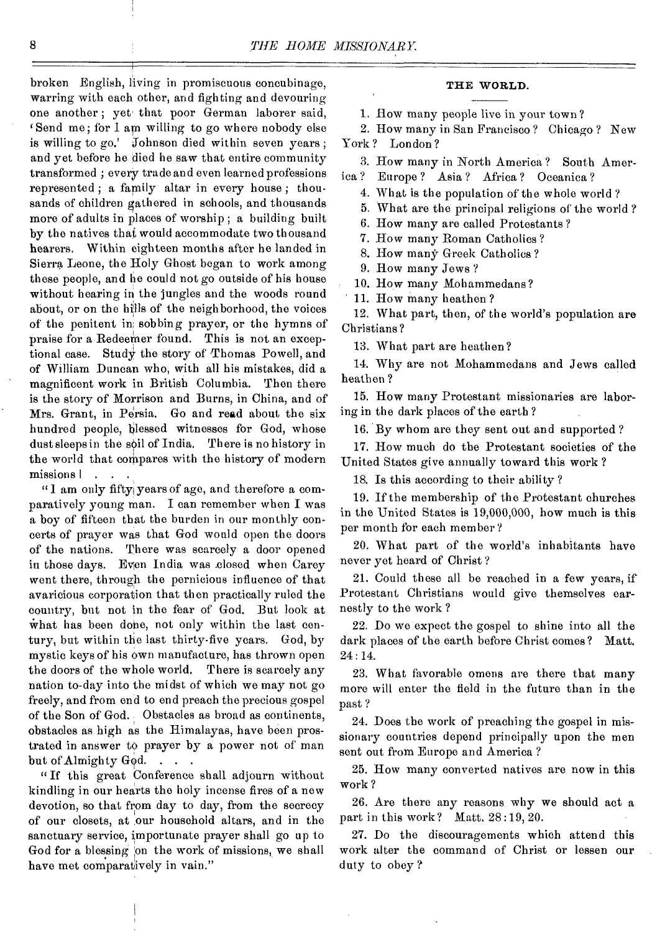broken English, living in promiscuous concubinage, warring with each other, and fighting and devouring one another ; yet that poor German laborer said, 'Send me; for I am willing to go where nobody else is willing to go.' Johnson died within seven years ; and yet before he died he saw that entire community transformed ; every trade and even learned professions represented ; a family altar in every house ; thousands of children gathered in schools, and thousands more of adults in places of worship ; a building built by the natives that would accommodate two thousand hearers. Within eighteen months after he landed in Sierra Leone, the Holy Ghost began to work among these people, and he could not go outside of his house without hearing in the jungles and the woods round about, or on the hills of the neighborhood, the voices of the penitent in sobbing prayer, or the hymns of praise for a Redeemer found. This is not an exceptional case. Study the story of Thomas Powell, and of William Duncan who, with all his mistakes, did a magnificent work in British Columbia. Then there is the story of Morrison and Burns, in China, and of Mrs. Grant, in Persia. Go and read about the six hundred people, blessed witnesses for God, whose dust sleeps in the soil of India. There is no history in the world that compares with the history of modern missions | . . .

"I am only fifty years of age, and therefore a comparatively young man. I can remember when I was a boy of fifteen that the burden in our monthly concerts of prayer was that God would open the doors of the nations. There was scarcely a door opened in those days. Even India was closed when Carey went there, through the pernicious influence of that avaricious corporation that then practically ruled the country, but not in the fear of God. But look at what has been done, not only within the last century, but within the last thirty-five years. God, by mystic keys of his own manufacture, has thrown open the doors of the whole world. There is scarcely any nation to-day into the midst of which we may not go freely, and from end to end preach the precious gospel of the Son of God. Obstacles as broad as continents, obstacles as high as the Himalayas, have been prostrated in answer to prayer by a power not of man but of Almighty God.

" If this great Conference shall adjourn without kindling in our hearts the holy incense fires of a new devotion, so that from day to day, from the secrecy of our closets, at our household altars, and in the sanctuary service, importunate prayer shall go up to God for a blessing on the work of missions, we shall have met comparatively in vain."

## THE WORLD.

1. How many people live in your town?

2. How many in San Francisco ? Chicago ? New York? London?

3. How many in North America? South Amer-

ica ? Europe ? Asia ? Africa ? Oceanica ?

4. What is the population of the whole world ?

5. What are the principal religions of the world ?

6. How many are called Protestants ?

7. How many Roman Catholics ?

8. How many Greek Catholics ?

9. How many Jews ?

10. How many Mohammedans?

11. How many heathen ?

12. What part, then, of the world's population are Christians ?

13. What part are heathen?

14. Why are not Mohammedans and Jews called heathen ?

15. How many Protestant missionaries are laboring in the dark places of the earth ?

16. By whom are they sent out and supported ?

17. How much do the Protestant societies of the United States give annually toward this work ?

18. Is this according to their ability ?

19. If the membership of the Protestant churches in the United States is 19,000,000, how much is this per month for each member?

20. What part of the world's inhabitants have never yet heard of Christ ?

21. Could these all be reached in a few years, if Protestant Christians would give themselves earnestly to the work ?

22. Do we expect the gospel to shine into all the dark places of the earth before Christ comes? Matt. 24 : 14.

23. What favorable omens are there that many more will enter the field in the future than in the past ?

24. Does the work of preaching the gospel in missionary countries depend principally upon the men sent out from Europe and America ?

25. How many converted natives are now in this work ?

26. Are there any reasons why we should act a part in this work? Matt. 28:19, 20.

27. Do the discouragements which attend this work alter the command of Christ or lessen our duty to obey ?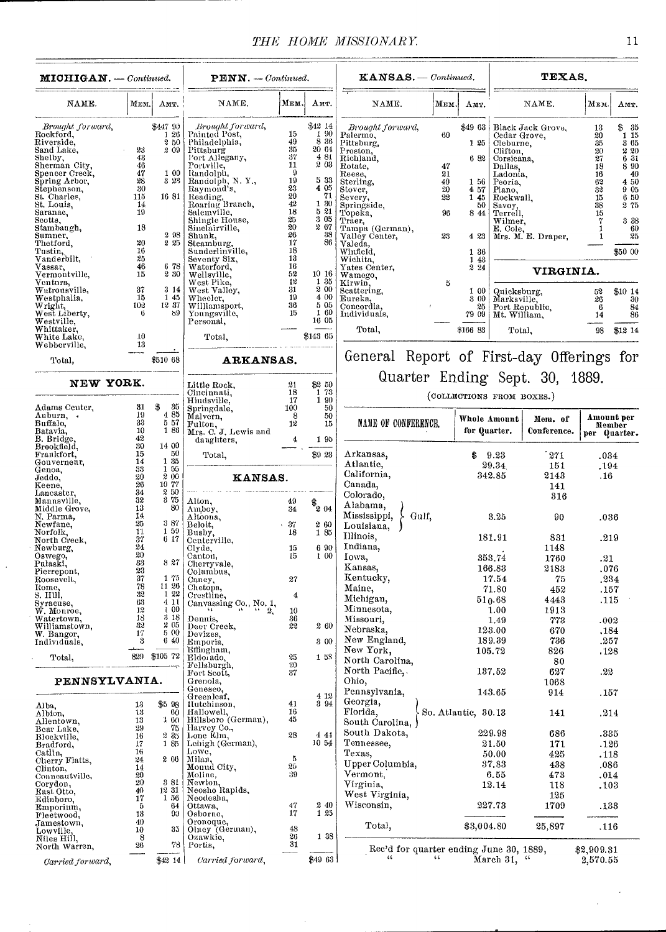| <b>MICHIGAN.</b> - Continued.                             |                    | $PENN. - {Continued.}$                                    |                                                                                                                          |                                    | $KANSAS.$ - Continued.                      |                                                        |              | TEXAS.              |                                                              |                                |                 |                                                                 |
|-----------------------------------------------------------|--------------------|-----------------------------------------------------------|--------------------------------------------------------------------------------------------------------------------------|------------------------------------|---------------------------------------------|--------------------------------------------------------|--------------|---------------------|--------------------------------------------------------------|--------------------------------|-----------------|-----------------------------------------------------------------|
| NAME.                                                     | Мим.               | Амт.                                                      | NAME.                                                                                                                    | Мем.                               | Амт.                                        | NAME.                                                  | Мны,         | AMT.                |                                                              | NAME.                          | Мюм.            | AMT.                                                            |
| Brought forward,<br>Rockford,<br>Riverside,<br>Sand Lake, | 23                 | \$447 90<br>126<br>250<br>2 09                            | Brought forward,<br>Painted Post,<br>Philadelphia,                                                                       | 15<br>49<br>35                     | \$42 14<br>1 90<br>8 36<br>20 64            | Brought forward,<br>Palermo,<br>Pittsburg,<br>Preston, | 60           | \$49 63<br>125      | Cedar Grove,<br>Cleburne,<br>Clifton,                        | Black Jack Grove,              | 13<br>20<br>35  | 835<br>$\begin{bmatrix} 1 & 15 \\ 3 & 65 \end{bmatrix}$<br>2 20 |
| Shelby,                                                   | 43<br>46           |                                                           | Funadelphia,<br>  Pittsburg<br>  Port Allegany,<br>  Portville,<br>  Randolph, N. Y.,<br>  Randolph, N. Y.,<br>  Randing | $37\,$<br>11                       | 481<br>$2\,03$                              | Richland,                                              |              | 682                 | Corsicana,                                                   |                                | $\frac{20}{27}$ | 6 31                                                            |
| Sherman City,<br>Spencer Creek,<br>Spring Arbor,          | 47                 | 1 00                                                      |                                                                                                                          | $\boldsymbol{9}$                   |                                             | Rotate,<br>Reese,                                      | 47<br>21     |                     | Dallas,<br>Ladonia,                                          |                                | 18<br>16        | 8 90<br>40                                                      |
| Stephenson,                                               | 28<br>$30^{\circ}$ | 3 23                                                      |                                                                                                                          | 19                                 | 5 33<br>4 05                                | Sterling,<br>Stover,                                   | 40<br>$20\,$ | 1 56<br>457         | Peoria,<br>Plano,                                            |                                | 63<br>32        | 4 50<br>905                                                     |
| St. Charles,                                              | 115                | 16 81                                                     |                                                                                                                          | $\frac{23}{20}$<br>$\frac{42}{18}$ | 71<br>1 30                                  | Severy,                                                | 22           | 1 45                | Rockwall,                                                    |                                | $15\,$          | 6 50                                                            |
| St. Louis,<br>Saranac,                                    | 14<br>19           |                                                           |                                                                                                                          |                                    | 521                                         | Springside,<br>Topeka,                                 | 96           | 50<br>8 44          | Savoy,<br>Terrell,                                           |                                | 38<br>16        | 2 75                                                            |
| Scotts,<br>Stambaugh,                                     | 18                 |                                                           | Reading,<br>Roaring Branch,<br>Roaring Branch,<br>Salemville,<br>Sinclairville,                                          |                                    | 3 05<br>2 67                                | Traer.<br>Tampa (German),                              |              |                     | Wilmer,                                                      |                                |                 | 3 3 3<br>60                                                     |
| Sumner,                                                   | 20                 | 2 98<br>2 25                                              | Shunk,                                                                                                                   | $2520$<br>$26$<br>$17$             | 38<br>86                                    | Valley Center,                                         | 23           | 4 23                |                                                              | E. Cole,<br>Mrs. M. E. Draper, |                 | 25                                                              |
| Thetford,<br>Tustin,                                      | 16                 |                                                           | Steamburg.<br>Sunderlinville,                                                                                            | $\frac{18}{18}$                    |                                             | Valeda,<br>Winfield,                                   |              | 1 36                |                                                              |                                |                 | \$50 00                                                         |
| Vanderbilt,<br>Vassar,                                    | 25<br>46           | 6 78                                                      | Seventy Six,<br>Waterford,                                                                                               | 16                                 |                                             | Wichita,<br>Yates Center,                              |              | 1 43<br>2 24        |                                                              |                                |                 |                                                                 |
| Vermontville,                                             | 15                 | 230                                                       | Wellsville,                                                                                                              | $\frac{52}{12}$                    | 1016<br>1 35                                | Wamego,                                                |              |                     |                                                              | VIRGINIA.                      |                 |                                                                 |
| Ventura,<br>Watrousville,                                 | 37                 | 3 14                                                      | West Pike,<br>West Valley,                                                                                               | $\frac{31}{19}$                    | 200                                         | Kirwin,<br>Scattering,                                 | 5            | 1 00                | Quicksburg,                                                  |                                | 52              | \$10 14                                                         |
| Westphalia,                                               | 15<br>102          | $\begin{smallmatrix} 1 & 45 \\ 12 & 37 \end{smallmatrix}$ | Wheeler,<br>Williamsport,                                                                                                | 36                                 | 4 00<br>505                                 | Eureka,<br>Concordia,                                  |              | 3 00<br>25          | Marksville,<br>Marksville,<br>Port Republic,<br>Mt. William, |                                | 26<br>-6        | 30<br>84                                                        |
| Wright,<br>West Liberty,                                  | 6                  | 89                                                        | Youngsville,                                                                                                             | $\overline{15}$                    | 160<br>1605                                 | Individuals,                                           |              | 79 09               |                                                              |                                | 14              | 86                                                              |
| Westville,<br>Whittaker,                                  |                    |                                                           | Personal,                                                                                                                |                                    |                                             | Total,                                                 |              | \$166 83            | Total.                                                       |                                | 98              | \$12 14                                                         |
| White Lake,<br>Webberville.                               | 10<br>13           |                                                           | Total,                                                                                                                   |                                    | \$143 65                                    |                                                        |              |                     |                                                              |                                |                 |                                                                 |
| Total,                                                    |                    | \$510 68                                                  | ARKANSAS.                                                                                                                |                                    |                                             | General Report of First-day Offerings for              |              |                     |                                                              |                                |                 |                                                                 |
| NEW YORK.                                                 |                    |                                                           | Little Rock,                                                                                                             | 21                                 | \$2 50                                      | Quarter Ending Sept. 30, 1889.                         |              |                     |                                                              |                                |                 |                                                                 |
|                                                           |                    |                                                           | Cincinnati,<br>Hindsville,                                                                                               | 18<br>17                           | $\begin{array}{c} 1.73 \\ 1.90 \end{array}$ |                                                        |              |                     | (COLLECTIONS FROM BOXES.)                                    |                                |                 |                                                                 |
| Adams Center,<br>Auburn, .                                | 31<br>19           | \$<br>-35<br>485                                          | Springdale,<br>Malvern.                                                                                                  | 100                                | 50<br>50                                    |                                                        |              |                     |                                                              |                                |                 |                                                                 |
| Buffalo,                                                  | 33                 | 5 57                                                      | Fulton,<br>Mrs. C. J. Lewis and                                                                                          | -8<br>12                           | 15                                          | NAME OF CONFERENCE.                                    |              |                     | Whole Amount                                                 | Mem. of                        |                 | Amount per<br>Member                                            |
| Batavia,<br><b>B.</b> Bridge                              | 10<br>42           | 180                                                       | daughters.                                                                                                               |                                    | 195                                         |                                                        |              | for Quarter.        |                                                              | Conference.                    |                 | per Quarter.                                                    |
| Brookfield,<br>Frankfort,                                 | 30<br>15           | 14 00<br>$50\,$                                           |                                                                                                                          |                                    | \$9 23                                      | Arkansas.                                              |              | \$                  |                                                              |                                |                 |                                                                 |
| Gouverneur,                                               | 14                 | 1 35                                                      | Total,                                                                                                                   |                                    |                                             | Atlantic,                                              |              |                     | 9.23<br>29.34                                                | 271<br>151                     | .034<br>.194    |                                                                 |
| Genoa,<br>Jeddo,                                          | 33<br>20           | 1 55<br>200                                               | KANSAS.                                                                                                                  |                                    |                                             | California,                                            |              |                     | 342.85                                                       | 2143                           | .16             |                                                                 |
| Keene,                                                    | 26<br>34           | 10 77<br>2 50                                             |                                                                                                                          |                                    |                                             | Canada,                                                |              |                     |                                                              | 141                            |                 |                                                                 |
| Lancaster,<br>Mannsville,                                 | 32                 | 3 75                                                      | Alton.                                                                                                                   | 49                                 | $*_{204}$                                   | Colorado,<br>Alabama,                                  |              |                     |                                                              | 316                            |                 |                                                                 |
| Middle Grove,<br>N. Parma,                                | 13<br>14           | 80                                                        | Amboy,<br>Altoona,                                                                                                       | 34                                 |                                             | Mississippi,<br>$\&$ Gulf,                             |              |                     | 3.25                                                         | 90                             | .036            |                                                                 |
| Newfane,                                                  | 25<br>11           | 387<br>1 59                                               | Beloit,                                                                                                                  | 37<br>18                           | 2 60<br>1 85                                | Louisiana,                                             |              |                     |                                                              |                                |                 |                                                                 |
| Norfolk,<br>North Creek,                                  | 37                 | 617                                                       | Busby,<br>Centerville,                                                                                                   |                                    |                                             | Illinois,                                              |              |                     | 181.91                                                       | 831                            | .219            |                                                                 |
| Newburg,<br>Oswego.                                       | 24<br>20           |                                                           | Clyde,<br>Canton,                                                                                                        | 15<br>15                           | 6 90<br>1 00                                | Indiana,<br>Iowa,                                      |              |                     | 353.74                                                       | 1148                           |                 |                                                                 |
| Pulaski.                                                  | 33                 | 827                                                       | Cherryvale,                                                                                                              |                                    |                                             | Kansas.                                                |              |                     | 166.83                                                       | 1760<br>2183                   | .21<br>.076     |                                                                 |
| Pierrepont,<br>Roosevelt,                                 | $\frac{23}{37}$    | 1 75                                                      | Columbus,<br>Caney,                                                                                                      | 27                                 |                                             | Kentucky,                                              |              |                     | 17.54                                                        | 75                             | .234            |                                                                 |
| Rome,<br>s. Hill,                                         | 78<br>32           | $\begin{array}{c} 11 & 26 \\ 1 & 22 \end{array}$          | Chetopa,                                                                                                                 | 4                                  |                                             | Maine,                                                 |              |                     | 71.80                                                        | 452                            | .157            |                                                                 |
| Syracuse,                                                 | 63                 | 4 11                                                      | Crestline, Canvassing Co., No. 1,                                                                                        |                                    |                                             | Michigan,                                              |              |                     | 510.68                                                       | 4443                           | .115            |                                                                 |
| W. Monroe,<br>Watertown,                                  | 12<br>18           | 100<br>3 18                                               | Dennis,                                                                                                                  | 10<br>36                           |                                             | Minnesota,<br>Missouri,                                |              |                     | 1.00<br>1,49                                                 | 1913<br>773                    | .002            |                                                                 |
| Williamstown,                                             | 32<br>17           | 2 05<br>5 00                                              | Decr Creek,                                                                                                              | 22                                 | 260                                         | Nebraska.                                              |              |                     | 123.00                                                       | 670                            | .184            |                                                                 |
| W. Bangor,<br>Individuals,                                | 3                  | 6 40                                                      | Devizes,<br>Emporia,                                                                                                     |                                    | 300                                         | New England,                                           |              |                     | 189.39                                                       | 736                            | .257            |                                                                 |
| Total,                                                    | 829                | \$105 72                                                  | Effingham,<br>Eldorado,                                                                                                  |                                    | 1 5 S                                       | New York,<br>North Carolina.                           |              |                     | 105.72                                                       | 826                            | .128            |                                                                 |
|                                                           |                    |                                                           | Fellsburgh,                                                                                                              | $\frac{25}{20}$<br>37              |                                             | North Pacific,.                                        |              |                     | 137.52                                                       | 80<br>627                      | .22             |                                                                 |
| PENNSYLVANIA.                                             |                    |                                                           | Fort Scott,<br>Grenola,                                                                                                  |                                    |                                             | Ohio,                                                  |              |                     |                                                              | 1068                           |                 |                                                                 |
|                                                           |                    |                                                           | Geneseo,<br>Greenleaf,                                                                                                   |                                    | 4 12                                        | Pennsylvania,                                          |              |                     | 143.65                                                       | 914                            | .157            |                                                                 |
| Alba,                                                     | 13                 | \$5 98                                                    | Ilutchinson,                                                                                                             | 41                                 | 3 94                                        | Georgia,                                               |              |                     |                                                              |                                |                 |                                                                 |
| Albion,<br>Allentown,                                     | 13<br>13           | 60<br>1 60                                                | Hallowell,<br>Hillsboro (German),                                                                                        | 16<br>45                           |                                             | Florida,<br>South Carolina,                            |              | So. Atlantic, 30.13 |                                                              | 141                            | .214            |                                                                 |
| Bear Lake,                                                | 29<br>16           | 75<br>235                                                 | Harvey Co.,<br>Lone Elm,                                                                                                 | 28                                 | 441                                         | South Dakota,                                          |              |                     | 229.98                                                       | 686                            | .335            |                                                                 |
| Blockville,<br>Bradford,                                  | $17\,$             | 185                                                       | Lehigh (German),                                                                                                         |                                    | 10 54                                       | Tennessee,                                             |              |                     | 21.50                                                        | 171                            | .126            |                                                                 |
| Catlin,<br>Clierry Flatts,                                | 16<br>24           | 2 66                                                      | Lowe,<br>Milan,                                                                                                          | 5                                  |                                             | Texas,                                                 |              |                     | 50.00                                                        | 425                            | .118            |                                                                 |
| Clinton,                                                  | 14                 |                                                           | Mound City.                                                                                                              | 25<br>39                           |                                             | Upper Columbia,                                        |              |                     | 37.83                                                        | 438                            | .086            |                                                                 |
| Conneautville,<br>Corydon,                                | $\frac{20}{20}$    | 3 81                                                      | Moline,<br>Newton,                                                                                                       |                                    |                                             | Vermont.<br>Virginia,                                  |              |                     | 6.55<br>12.14                                                | 473<br>118                     | .014<br>.103    |                                                                 |
| East Otto,                                                | 40<br>17           | 1231<br>156                                               | Neosho Rapids,<br>Neodesha,                                                                                              |                                    |                                             | West Virginia,                                         |              |                     |                                                              | 125                            |                 |                                                                 |
| Edinboro,<br>Emporium,                                    | 5                  | 64                                                        | Ottawa,                                                                                                                  | $4\,7$                             | 240                                         | Wisconsin,                                             |              |                     | 227.73                                                       | 1709                           | .133            |                                                                 |
| Fleetwood,<br>Jamestown,                                  | 13<br>40           | 90                                                        | Osborne,                                                                                                                 | 17                                 | 1 25                                        |                                                        |              |                     |                                                              |                                |                 |                                                                 |
| Lowville,                                                 | 10                 | 35                                                        | Oronoque,<br>Oluey (German),                                                                                             | $\substack{48\\26}$                | 1 38                                        | Total,                                                 |              | \$3,004.80          |                                                              | 25,897                         | .116            |                                                                 |
| Niles Hill,<br>North Warren,                              | 8<br>26            | 78                                                        | Ozawkie,<br>Portis,                                                                                                      | 31                                 |                                             | Rec'd for quarter ending June 30, 1889,                |              |                     |                                                              |                                | \$2,909.31      |                                                                 |
| Carried forward,                                          |                    | \$42 14                                                   | Carried forward,                                                                                                         |                                    | \$4963]                                     | $\epsilon$                                             | KG.          |                     | March 31, "                                                  |                                | 2,570.55        |                                                                 |

 $\overline{\phantom{a}}$ 

l,

 $\bar{z}$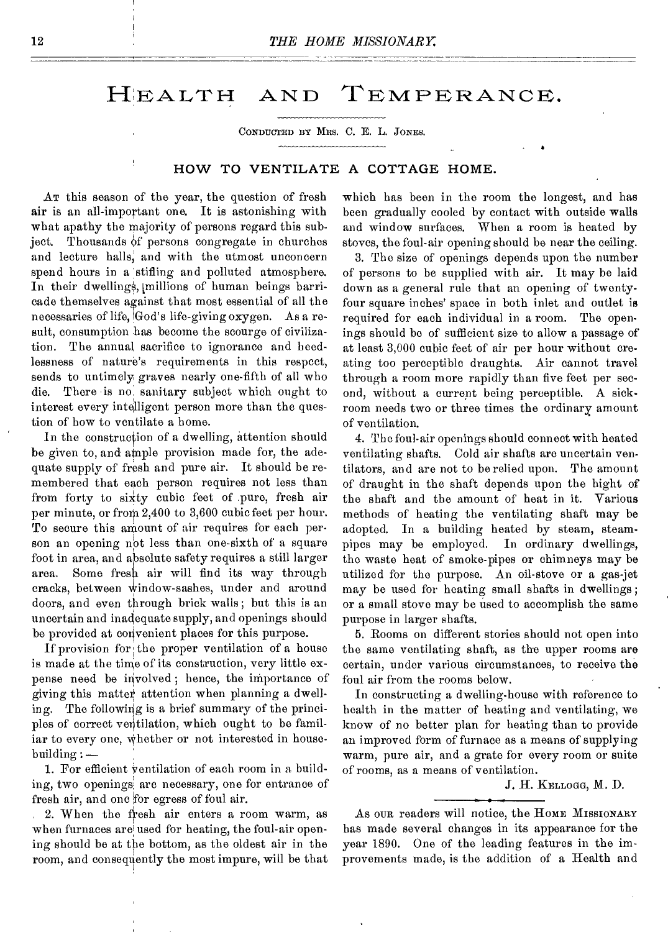# HEALTH AND TEMPERANCE.

CONDUCTED BY MRS. C. E. L. JONES.

# HOW TO VENTILATE A COTTAGE HOME.

AT this season of the year, the question of fresh air is an all-important one. It is astonishing with what apathy the majority of persons regard this subject. Thousands of persons congregate in churches and lecture halls, and with the utmost unconcern spend hours in a stifling and polluted atmosphere. In their dwellings, millions of human beings barricade themselves against that most essential of all the necessaries of life, God's life-giving oxygen. As a result, consumption has become the scourge of civilization. The annual sacrifice to ignorance and heedlessness of nature's requirements in this respect, sends to untimely graves nearly one-fifth of all who die. There is no, sanitary subject which ought to interest every intelligent person more than the question of how to ventilate a home.

In the construction of a dwelling, attention should be given to, and ample provision made for, the adequate supply of fresh and pure air. It should be remembered that each person requires not less than from forty to sixty cubic feet of pure, fresh air per minute, or from 2,400 to 3,600 cubic feet per hour. To secure this amount of air requires for each person an opening not less than one-sixth of a square foot in area, and absolute safety requires a still larger area. Some fresh air will find its way through cracks, between window-sashes, under and around doors, and even through brick walls; but this is an uncertain and inadequate supply, and openings should be provided at convenient places for this purpose.

If provision for the proper ventilation of a house is made at the time of its construction, very little expense need be involved ; hence, the importance of giving this matter attention when planning a dwelling. The following is a brief summary of the principles of correct ventilation, which ought to be familiar to every one, whether or not interested in housebuilding : —

1. For efficient ventilation of each room in a building, two openings are necessary, one for entrance of fresh air, and one for egress of foul air.

2. When the fresh air enters a room warm, as when furnaces are used for heating, the foul-air opening should be at the bottom, as the oldest air in the room, and consequently the most impure, will be that

which has been in the room the longest, and has been gradually cooled by contact with outside walls and window surfaces. When a room is boated by stoves, the foul-air opening should be near the ceiling.

a

3. The size of openings depends upon the number of persons to be supplied with air. It may be laid down as a general rule that an opening of twentyfour square inches' space in both inlet and outlet is required for each individual in a room. The openings should be of sufficient size to allow a passage of at least 3,000 cubic feet of air per hour without creating too perceptible draughts. Air cannot travel through a room more rapidly than five feet per second, without a current being perceptible. A sickroom needs two or three times the ordinary amount of ventilation.

4. The foul-air openings should connect with heated ventilating shafts. Cold air shafts are uncertain ventilators, and are not to be relied upon. The amount of draught in the shaft depends upon the hight of the shaft and the amount of heat in it. Various methods of heating the ventilating shaft may be adopted. In a building heated by steam, steampipes may be employed. In ordinary dwellings, the waste heat of smoke-pipes or chimneys may be utilized for the purpose. An oil-stove or a gas-jet may be used for heating small shafts in dwellings ; or a small stove may be used to accomplish the same purpose in larger shafts.

5. Rooms on different stories should not open into the same ventilating shaft, as the upper rooms are certain, under various circumstances, to receive the foul air from the rooms below.

In constructing a dwelling-house with reference to health in the matter of heating and ventilating, we know of no better plan for heating than to provide an improved form of furnace as a means of supplying warm, pure air, and a grate for every room or suite of rooms, as a means of ventilation.

J. H. KELLOGG, M. D.

As OUR readers will notice, the HOME MISSIONARY has made several changes in its appearance for the year 1890. One of the leading features in the improvements made, is the addition of a Health and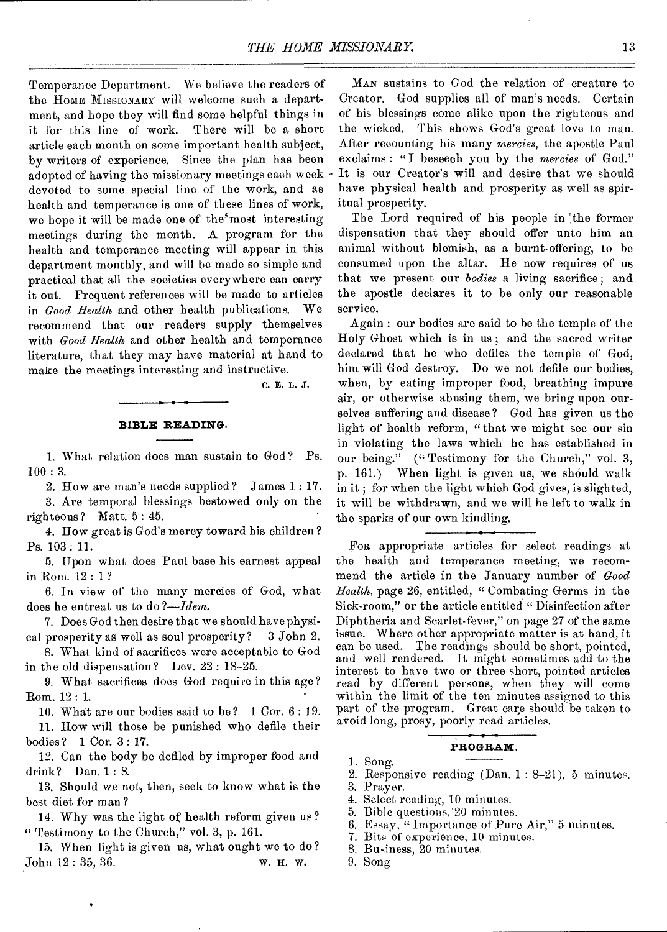Temperance Department. We believe the readers of the HOME MISSIONARY will welcome such a department, and hope they will find some helpful things in it for this line of work. There will be a short article each month on some important health subject, by writers of experience. Since the plan has been adopted of having the missionary meetings each week  $\cdot$ devoted to some special line of the work, and as health and temperance is one of these lines of work, we hope it will be made one of the most interesting meetings during the month. A program for the health and temperance meeting will appear in this department monthly, and will be made so simple and practical that all the societies everywhere can carry it out. Frequent references will be made to articles in *Good Health* and other health publications. We recommend that our readers supply themselves with *Good Health* and other health and temperance literature, that they may have material at hand to make the meetings interesting and instructive.

C. E. L. J.

### **BIBLE READING.**

1. What relation does man sustain to God ? Ps. 100 : 3.

2. How are man's needs supplied? James 1.: 17. 3. Are temporal blessings bestowed only on the righteous? Matt. 5 : 45.

4. How great is God's mercy toward his children ? Ps. 103: 11.

5. Upon what does Paul base his earnest appeal in Rom. 12 : 1 ?

6. In view of the many mercies of God, what does he entreat us to do *?-Idem.* 

7. Does God then desire that we should have physical prosperity as well as soul prosperity? 3 John 2.

8. What kind of sacrifices were acceptable to God in the old dispensation? Lev. 22 : 18-25.

9. What sacrifices does God require in this age ? Rom. 12 : 1.

10. What are our bodies said to be? 1 Cor. 6 : 19.

11. How will those be punished who defile their bodies? 1 Cor. 3 : 17.

12. Can the body be defiled by improper food and drink? Dan. 1 : 8.

13. Should we not, then, seek to know what is the best diet for man ?

14. Why was the light of health reform given us? " Testimony to the Church," vol. 3, p. 161.

15. When light is given us, what ought we to do? John 12 : 35,36. W. H. W.

MAN sustains to God the relation of creature to Creator. God supplies all of man's needs. Certain of his blessings come alike upon the righteous and the wicked. This shows God's great love to man. After recounting bis many *mercies,* the apostle Paul exclaims : " I beseech you by the *mercies* of God." It is our Creator's will and desire that we should have physical health and prosperity as well as spiritual prosperity.

The Lord required of his people in the former dispensation that they should offer unto him an animal without blemish, as a burnt-offering, to be consumed, upon the altar. He now requires of us that we present our *bodies* a living sacrifice; and the apostle declares it to be only our reasonable service.

Again : our bodies are said to be the temple of the Holy Ghost which is in us ; and the sacred writer declared that he who defiles the temple of God, him will God destroy. Do we not defile our bodies, when, by eating improper food, breathing impure air, or otherwise abusing them, we bring upon ourselves suffering and disease? God has given us the light of health reform, "that we might see our sin in violating the laws which he has established in our being." ("Testimony for the Church," vol. 3, p. 161.) When light is given us, we should walk in it ; for when the light which God gives, is slighted, it will be withdrawn, and we will be left to walk in the sparks of our own kindling.

FOR appropriate articles for select readings at the health and temperance meeting, we recommend the article in the January number of *Good Health,* page 26, entitled, " Combating Germs in the Sick-room," or the article entitled " Disinfection after Diphtheria and Scarlet-fever," on page 27 of the same issue. Where other appropriate matter is at hand, it can be used. The readings should be short, pointed, and well rendered. It might sometimes add to the interest to have two or three short, pointed articles read by different persons, when they will come within the limit of the ten minutes assigned to this part of the program. Great care should be taken to avoid long, prosy, poorly read articles.

#### **PROGRAM.**

1. Song.

2. Responsive reading (Dan. 1 : 8-21), 5 minutes.

3. Prayer.

- 4. Select reading, 10 minutes.
- 5. Bible questions, 20 minutes.
- 6. Essay, " Importance of Pure Air," 5 minutes.
- 7. Bits of experience, 10 minutes.
- 8. Business, 20 minutes.
- 9. Song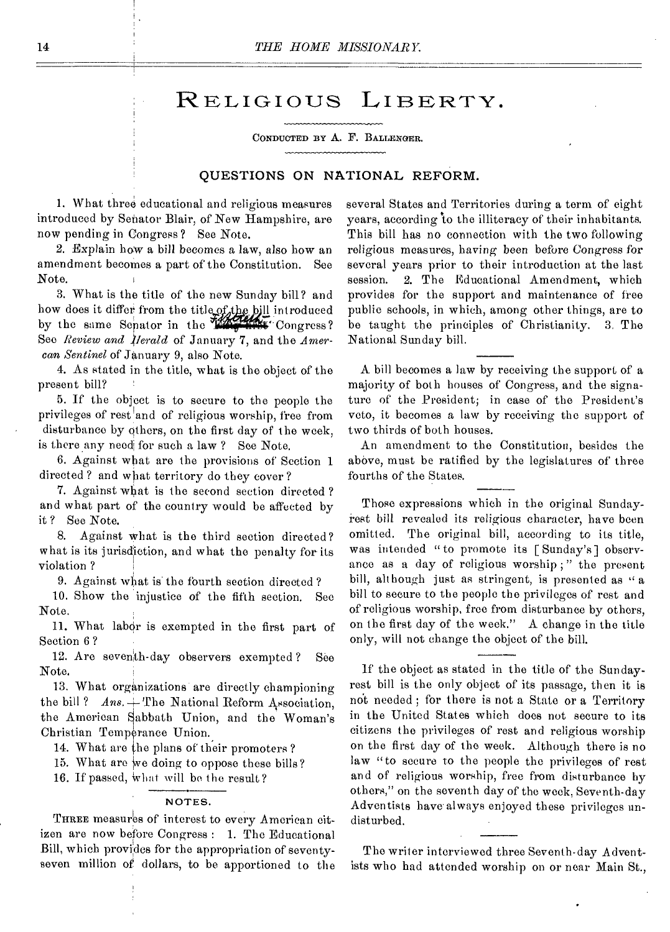# RELIGIOUS LIBERTY.

CONDUCTED Br A. F. BALLENGER.

# **QUESTIONS ON NATIONAL REFORM.**

1. What three educational and religious measures introduced by Senator Blair, of New Hampshire, are now pending in Congress ? See Note.

2. Explain how a bill becomes a law, also how an amendment becomes a part of the Constitution. See Note.

3. What is the title of the new Sunday bill? and how does it differ from the title of the bill introduced by the same Senator in the **WE HAV** Congress? See *Review and Herald* of January 7, and the *Amercan Sentinel* of January 9, also Note.

4. As stated in the title, what is the object of the present bill?

5. If the object is to secure to the people the privileges of rest and of religious worship, free from disturbance by others, on the first day of the week, is there any need for such a law ? See Note.

6. Against what are the provisions of Section 1 directed ? and what territory do they cover ?

7. Against what is the second section directed ? and what part of the country would be affected by it ? See Note.

8. Against what is the third section directed? what is its jurisdiction, and what the penalty for its violation ?

9. Against wbat is the fourth section directed ?

10. Show the injustice of the fifth section. See Note.

11. What labor is exempted in the first part of Section 6 ?

12. Are seventh-day observers exempted ? See Note.

13. What organizations are directly championing the bill ?  $Ans. +$  The National Reform Association, the American Sabbath Union, and the Woman's Christian Temperance Union.

14. What are the plans of their promoters?

15. What are We doing to oppose these bills?

16. If passed, what will be the result?

#### NOTES.

THREE measures of interest to every American citizen are now before Congress : **1.** The Educational Bill, which provides for the appropriation of seventyseven million of dollars, to be apportioned to the several States and Territories during a term of eight years, according to the illiteracy of their inhabitants. This bill has no connection with the two following religious measures, having been before Congress for several years prior to their introduction at the last session. 2. The Educational Amendment, which provides for the support and maintenance of free public schools, in which, among other things, are to be taught the principles of Christianity. 3. The National Sunday bill.

A bill becomes a law by receiving the support of a majority of both houses of Congress, and the signature of the President; in case of the President's veto, it becomes a law by receiving the support of two thirds of both houses.

An amendment to the Constitution, besides the above, must be ratified by the legislatures of three fourths of the States.

Those expressions which in the original Sundayrest bill revealed its religious character, have been omitted. The original bill, according to its title, was intended "to promote its [ Sunday's] observance as a day of religious worship ; " the present bill, although just as stringent, is presented as "a bill to secure to the people the privileges of rest and of religious worship, free from disturbance by others, on the first day of the week." A change in the title only, will not change the object of the bill.

If the object as stated in the title of the Sundayrest bill is the only object of its passage, then it is not needed ; for there is not a State or a Territory in the United States which does not secure to its citizens the privileges of rest and religious worship on the first day of the week. Although there is no law "to secure to the people the privileges of rest and of religious worship, free from disturbance by others," on the seventh day of the week, Seventh-day Adventists have always enjoyed these privileges undisturbed.

The writer interviewed three Seventh-day Adventists who had attended worship on or near Main St.,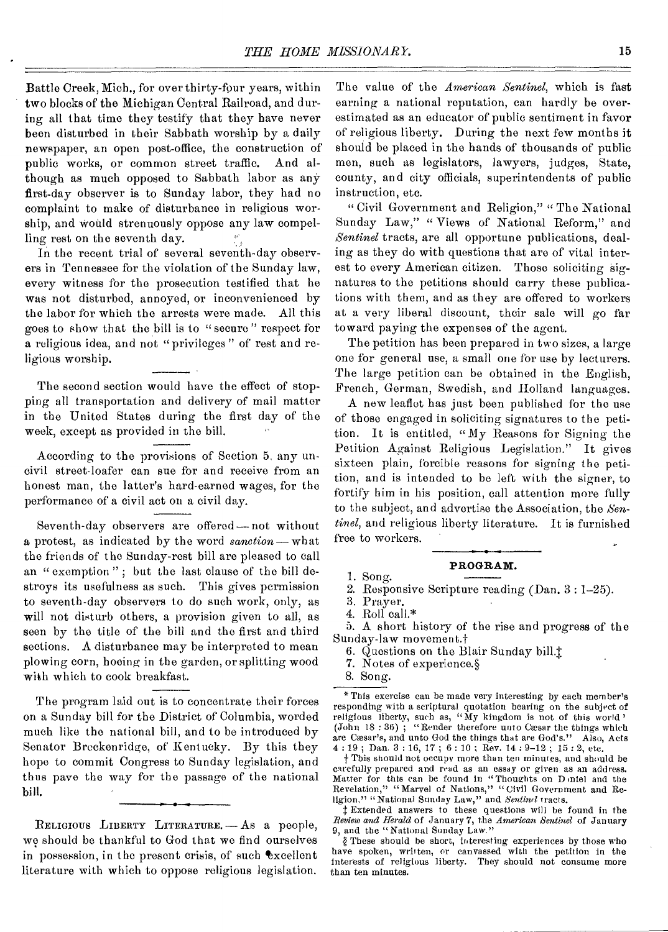Battle Creek, Mich., for over thirty-four years, within two blocks of the Michigan Central Railroad, and during all that time they testify that they have never been disturbed in their Sabbath worship by a daily newspaper, an open post-office, the construction of public works, or common street traffic. And although as much opposed to Sabbath labor as any first-day observer is to Sunday labor, they had no complaint to make of disturbance in religious worship, and would strenuously oppose any law compelling rest on the seventh day.

In the recent trial of several seventh-day observers in Tennessee for the violation of the Sunday law, every witness for the prosecution testified that he was not disturbed, annoyed, or inconvenienced by the labor for which the arrests were made. All this goes to show that the bill is to " secure " respect for a religious idea, and not " privileges " of rest and religious worship.

The second section would have the effect of stopping all transportation and delivery of mail matter in the United States during the first day of the week, except as provided in the bill.

According to the provisions of Section 5, any uncivil street-loafer can sue for and receive from an honest man, the latter's hard-earned wages, for the performance of a civil act on a civil day.

Seventh-day observers are offered —not without a protest, as indicated by the word *sanction* —what the friends of the Sunday-rest bill are pleased to call an " exemption"; but the last clause of the bill destroys its usefulness as such. This gives permission to seventh-day observers to do such work, only, as will not disturb others, a provision given to all, as seen by the title of the bill and the first and third sections. A disturbance may be interpreted to mean plowing corn, hoeing in the garden, or splitting wood with which to cook breakfast.

The program laid out is to concentrate their forces on a Sunday bill for the District of Columbia, worded much like the national bill, and to be introduced by Senator Breckenridge, of Kentucky. By this they hope to commit Congress to Sunday legislation, and thus pave the way for the passage of the national bill.

RELIGIOUS LIBERTY LITERATURE. — AS a people, we should be thankful to God that we find ourselves in possession, in the present crisis, of such excellent literature with which to oppose religious legislation.

The value of the *American Sentinel,* which is fast earning a national reputation, can hardly be overestimated as an educator of public sentiment in favor of religious liberty. During the next few months it should be placed in the hands of thousands of public men, such as legislators, lawyers, judges, State, county, and city officials, superintendents of public instruction, etc.

" Civil Government and Religion," " The National Sunday Law," " Views of National Reform," and *Sentinel* tracts, are all opportune publications, dealing as they do with questions that are of vital interest to every American citizen. Those soliciting signatures to the petitions should carry these publications with them, and as they are offered to workers at a very liberal discount, their sale will go far toward paying the expenses of the agent.

The petition has been prepared in two sizes, a large one for general use, a small one for use by lecturers. The large petition can be obtained in the English, French, German, Swedish, and Holland languages.

A new leaflet has just been published for the use of those engaged in soliciting signatures to the petition. It is entitled, "My Reasons for Signing the Petition Against Religious Legislation." It gives sixteen plain, forcible reasons for signing the petition, and is intended to be left with the signer, to fortify him in his position, call attention more fully to the subject, and advertise the Association, the *Sentinel,* and religious liberty literature. It is furnished free to workers.

### **PROGRAM.**

I. Song. 2. Responsive Scripture reading (Dan. 3 : 1-25).

4. Roll<sup>\*</sup>

5. A short history of the rise and progress of the Sunday-law movement:1-

6. Questions on the Blair Sunday bill.<sup>†</sup>

7. Notes of experience.§

8. Song.

f This should not occupy more than ten minutes, and should be carefully prepared and read as an essay or given as an address. Matter for this can be found in "Thoughts on D iniel and the Revelation," "Marvel of Nations," "Civil Government and Religion," "National Sunday Law," and *Sentinel* tracts.

t Extended answers to these questions will be found in the *Review and Herald* of January 7, the *American Sentinel* of January 9, and the "National Sunday Law."

These should be short, interesting experiences by those who have spoken, written, or canvassed with the petition in the interests of religious liberty. They should not consume more than ten minutes.

<sup>3.</sup> Prayer.

<sup>\*</sup>This exercise can be made very interesting by each member's responding with a scriptural quotation bearing on the subject of religious liberty, such as, "My kingdom is not of this world"<br>(John 18:36); "Render therefore unto Cæsar the things which are Cæsar's, and unto God the things that are God's." Also, Acts 4 : 19 ; Dan. 3 : 16, 17 ; 6 : 10 ; Rev. 14 : 9-12 ; 15 : 2, etc.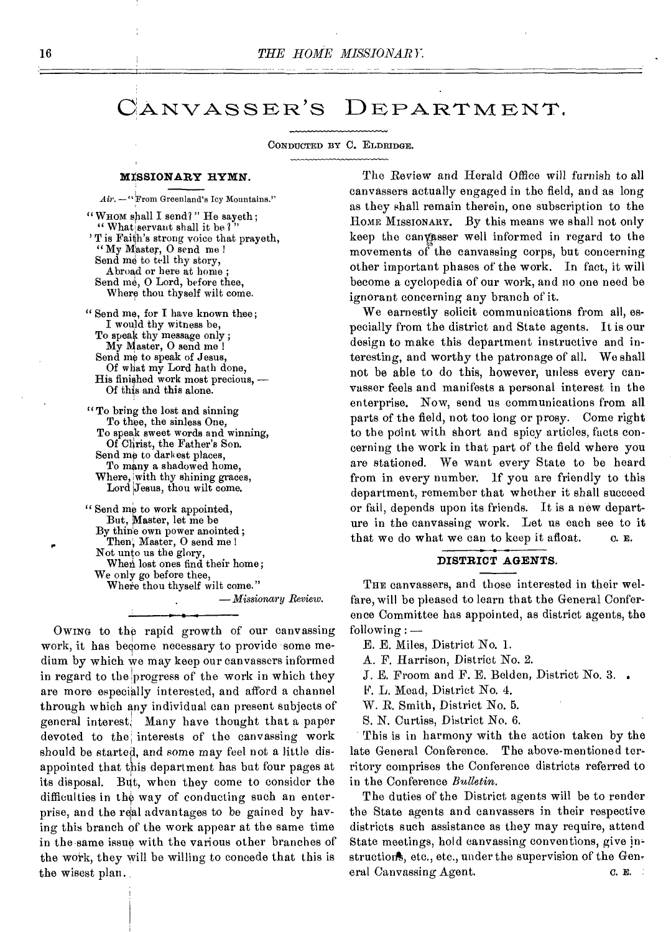# CANVASSER'S DEPARTMENT.

CONDUCTED BY C. ELDRIDGE.

#### **MISSIONARY HYMN.**

*Air. —"From* Greenland's Icy Mountains."

" WHOM shall I send?" He sayeth; " What servant shall it be? ' T is Faith's strong voice that prayeth, "My Master, 0 send me Send me to tell thy story, Abroad or here at home ; Send me, 0 Lord, before thee, Where thou thyself wilt come.

"Send me, for I have known thee; I would thy witness be, To speak thy message only ; My Master, O send me ! Send me to speak of Jesus, Of what my Lord hath done, His finished work most precious, — Of this and this alone.

" To bring the lost and sinning To thee, the sinless One, To speak sweet words and winning, Of Christ, the Father's Son. Send me to dark est places, To many a shadowed home, Where, with thy shining graces, Lord Jesus, thou wilt come.

" Send me to work appointed, But, Master, let me be By thine own power anointed; Then, Master, O send me ! Not unto us the glory, When lost ones find their home; We only go before thee, Where thou thyself wilt come." *— Missionary Review.* 

OWING to the rapid growth of our canvassing work, it has become necessary to provide some medium by which we may keep our canvassers informed in regard to the progress of the work in which they are more especially interested, and afford a channel through which any individual can present subjects of general interest. Many have thought that a paper devoted to the; interests of the canvassing work should be started, and some may feel not a little disappointed that this department has but four pages at its disposal. But, when they come to consider the difficulties in the way of conducting such an enterprise, and the real advantages to be gained by having this branch of the work appear at the same time in the same issue with the various other branches of the work, they will be willing to concede that this is the wisest plan.

The Review and Herald Office will furnish to all canvassers actually engaged in the field, and as long as they shall remain therein, one subscription to the HOME MISSIONARY. By this means we shall not only keep the canyasser well informed in regard to the movements of the canvassing corps, but concerning other important phases of the work. In fact, it will become a cyclopedia of our work, and no one need be ignorant concerning any branch of it.

We earnestly solicit communications from all, especially from the district and State agents. It is our design to make this department instructive and interesting, and worthy the patronage of all. We shall not be able to do this, however, unless every canvasser feels and manifests a personal interest in the enterprise. Now, send us communications from all parts of the field, not too long or prosy. Come right to the point with short and spicy articles, facts concerning the work in that part of the field where you are stationed. We want every State to be heard from in every number. If you are friendly to this department, remember that whether it shall succeed or fail, depends upon its friends. It is a new departure in the canvassing work. Let us each see to it that we do what we can to keep it afloat.  $\qquad \alpha$ . E.

## **DISTRICT AGENTS.**

THE canvassers, and those interested in their welfare, will be pleased to learn that the General Conference Committee has appointed, as district agents, the following : —

- E. E. Miles, District No. 1.
- A. F. Harrison, District No. 2.
- *J.* E. Froom and F. E. Belden, District No. 3.
- F. L. Mead, District No. 4.

W. R. Smith, District No. 5.

S. N. Curtiss, District No. 6.

This is in harmony with the action taken by the late General Conference. The above-mentioned territory comprises the Conference districts referred to in the Conference *Bulletin.* 

The duties of the District agents will be to render the State agents and canvassers in their respective districts such assistance as they may require, attend State meetings, hold canvassing conventions, give instructions, etc., etc., under the supervision of the General Canvassing Agent. C. E.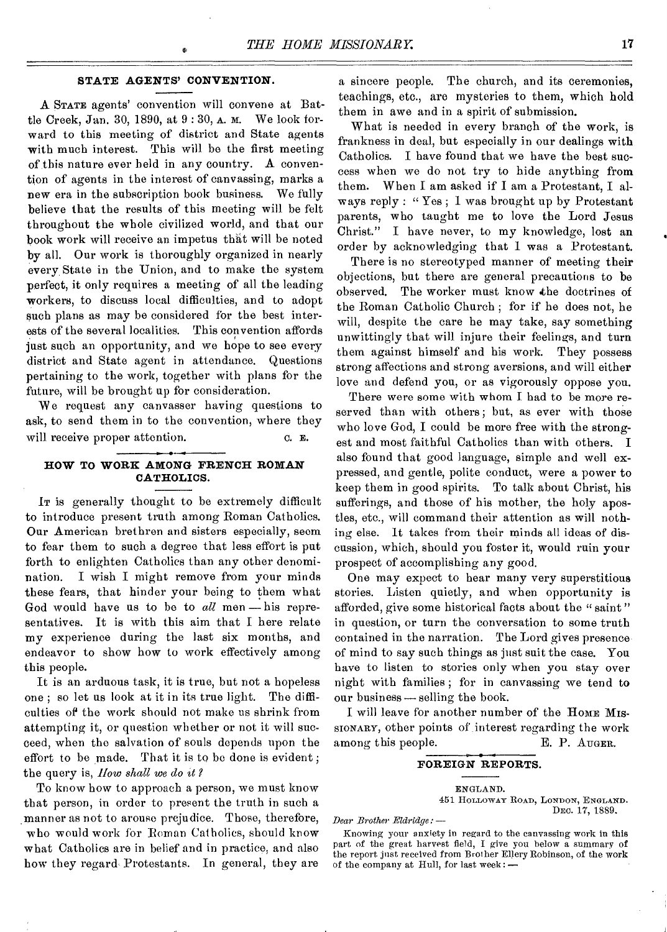### **STATE AGENTS' CONVENTION.**

A STATE agents' convention will convene at Battle Creek, Jan. 30, 1890, at 9 : 30, A. M. We look forward to this meeting of district and State agents with much interest. This will be the first meeting of this nature ever held in any country. A convention of agents in the interest of canvassing, marks a new era in the subscription book business. We fully believe that the results of this meeting will be felt throughout the whole civilized world, and that our book work will receive an impetus that will be noted by all. Our work is thoroughly organized in nearly every, State in the Union, and to make the system perfect, it only requires a meeting of all the leading workers, to discuss local difficulties, and to adopt such plans as may be considered for the best interests of the several localities. This convention affords just such an opportunity, and we hope to see every district and State agent in attendance. Questions pertaining to the work, together with plans for the future, will be brought up for consideration.

We request any canvasser having questions to ask, to send them in to the convention, where they will receive proper attention.  $\qquad \qquad \text{c. } \mathbf{E}.$ 

# **HOW TO WORK AMONG FRENCH ROMAN CATHOLICS.**

Ir is generally thought to be extremely difficult to introduce present truth among Roman Catholics. Our American brethren and sisters especially, seem to fear them to such a degree that less effort is put forth to enlighten Catholics than any other denomination. I wish I might remove from your minds these fears, that hinder your being to them what God would have us to be to *all* men — his representatives. It is with this aim that I here relate my experience during the last six months, and endeavor to show how to work effectively among this people.

It is an arduous task, it is true, but not a hopeless one ; so let us look at it in its true light. The difficulties of the work should not make us shrink from attempting it, or question whether or not it will succeed, when the salvation of souls depends upon the effort to be made. That it is to be done is evident ; the query is, *How shall we do it?* 

To know how to approach a person, we must know that person, in order to present the truth in such a manner as not to arouse prejudice. Those, therefore, who would work for Boman Catholics, should know what Catholics are in belief and in practice, and also how they regard Protestants. In general, they are

a sincere people. The church, and its ceremonies, teachings, etc., are mysteries to them, which hold them in awe and in a spirit of submission.

What is needed in every branch of the work, is frankness in deal, but especially in our dealings with Catholics. I have found that we have the best success when we do not try to hide anything from them. When I am asked if I am a Protestant, I always reply : " Yes ; I was brought up by Protestant parents, who taught me to love the Lord Jesus Christ." I have never, to my knowledge, lost an order by acknowledging that I was a Protestant.

There is no stereotyped manner of meeting their objections, but there are general precautions to be observed. The worker must know the doctrines of the Roman Catholic Church ; for if he does not, he will, despite the care he may take, say something unwittingly that will injure their feelings, and turn them against himself and his work. They possess strong affections and strong aversions, and will either love and defend you, or as vigorously oppose you.

There were some with whom I had to be more reserved than with others; but, as ever with those who love God, I could be more free with the strongest and most faithful Catholics than with others. I also found that good language, simple and well expressed, and gentle, polite conduct, were a power to keep them in good spirits. To talk about Christ, his sufferings, and those of his mother, the holy apostles, etc., will command their attention as will nothing else. It takes from their minds all ideas of discussion, which, should you foster it, would ruin your prospect of accomplishing any good.

One may expect to hear many very superstitious stories. Listen quietly, and when opportunity is afforded, give some historical facts about the " saint " in question, or turn the conversation to some truth contained in the narration. The Lord gives presenceof mind to say such things as just suit the case. You have to listen to stories only when you stay over night with families ; for in canvassing we tend to our business—selling the book.

I will leave for another number of the Home Mis-SIONARY, other points of interest regarding the work among this people. E. P. August.

#### **FOREIGN REPORTS.**

ENGLAND. 451 HOLLOWAY ROAD, LONDON, ENGLAND. DEC. 17, 1889.

*Dear Brother Eldridge:* —

Knowing your anxiety in regard to the canvassing work in this part of the great harvest field, I give you below a summary of the report just received from Brother Ellery Robinson, of the work of the company at Hull, for last week : —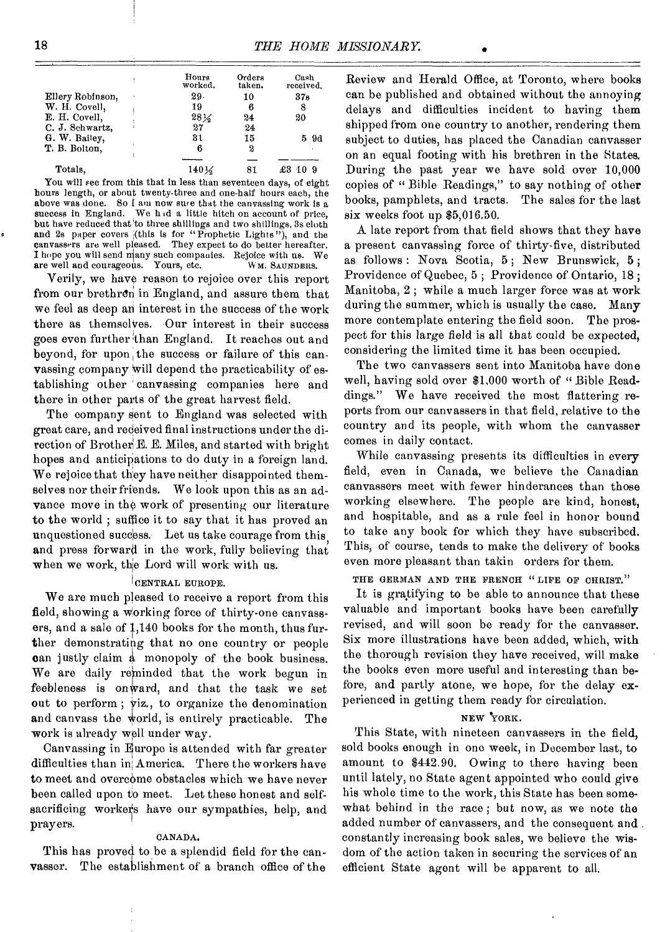|                  | Hours<br>worked. | Orders<br>taken. | Cash<br>received. |
|------------------|------------------|------------------|-------------------|
| Ellery Robinson, | 29.              | 10               | 37 <sub>6</sub>   |
| W. H. Covell,    | 19               | 6                | 8                 |
| E. H. Covell,    | $28\%$           | 24               | 20                |
| C. J. Schwartz,  | 27               | 24               |                   |
| G. W. Bailey.    | 31               | 15               | 5 9d              |
| T. B. Bolton.    | 6                | 2                |                   |
|                  |                  |                  |                   |
| Totals.          | $140\%$          | 81               |                   |

You will see from this that in less than seventeen days, of eight hours length, or about twenty-three and one-half hours each, the above was done. So I am now sure that the canvassing work is a success in England. We hid a little hitch on account of price, but have reduced that to three shillings and two shillings, 3s cloth and 2s paper covers (this is for "Prophetic Lights"), and the canvassers are well pleased. They expect to do better hereafter. I hope you will send many such companies. Rejoice with us. We are well and courageous. Yours, etc. W M. SAUNDERS.

Verily, we have reason to rejoice over this report from our brethren in England, and assure them that we feel as deep an interest in the success of the work there as themselves. Our interest in their success goes even further than England. It reaches out and beyond, for upon the success or failure of this canvassing company will depend the practicability of establishing other 'canvassing companies here and there in other parts of the great harvest field.

The company sent to England was selected with great care, and received final instructions under the direction of Brother E. E. Miles, and started with bright hopes and anticipations to do duty in a foreign land. We rejoice that they have neither disappointed themselves nor their friends. We look upon this as an advance move in the work of presenting our literature to the world ; suffice it to say that it has proved an unquestioned success. Let us take courage from this and press forward in the work, fully believing that when we work, the Lord will work with us.

### CENTRAL EUROPE.

We are much pleased to receive a report from this field, showing a working force of thirty-one canvassers, and a sale of 1,140 books for the month, thus further demonstrating that no one country or people can justly claim a monopoly of the book business. We are daily reminded that the work begun in feebleness is onward, and that the task we set out to perform ; viz., to organize the denomination and canvass the world, is entirely practicable. The work is already well under way.

Canvassing in Europe is attended with far greater difficulties than in America. There the workers have to meet and overcome obstacles which we have never been called upon to meet. Let these honest and selfsacrificing workers have our sympathies, help, and prayers.

### CANADA.

This has proved to be a splendid field for the canvasser. The establishment of a branch office of the

Review and Herald Office, at Toronto, where books can be published and obtained without the annoying delays and difficulties incident to having them shipped from one country to another, rendering them subject to duties, has placed the Canadian canvasser on an equal footing with his brethren in the States. During the past year we have sold over 10,000 copies of " Bible Readings," to say nothing of other books, pamphlets, and tracts. The sales for the last six weeks foot up \$5,0l6.50.

A late report from that field shows that they have a present canvassing force of thirty-five, distributed as follows: Nova Scotia, 5; New Brunswick, 5; Providence of Quebec, 5 ; Providence of Ontario, 18 ; Manitoba, 2 ; while a much larger force was at work during the summer, which is usually the case. Many more contemplate entering the field soon. The prospect for this large field is all that could be expected, considering the limited time it has been occupied.

The two canvassers sent into Manitoba have done well, having sold over \$1,000 worth of " Bible Readdings." We have received the most flattering reports from our canvassers in that field, relative to the country and its people, with whom the canvasser comes in daily contact.

While canvassing presents its difficulties in every field, even in Canada, we believe the Canadian canvassers meet with fewer hinderances than those working elsewhere. The people are kind, honest, and hospitable, and as a rule feel in honor bound to take any book for which they have subscribed. This, of course, tends to make the delivery of books even more pleasant than takin orders for them.

THE GERMAN AND THE FRENCH "LIFE OF CHRIST."

It is gratifying to be able to announce that these valuable and important books have been carefully revised, and will soon be ready for the canvasser. Six more illustrations have been added, which, with the thorough revision they have received, will make the books even more useful and interesting than before, and partly atone, we hope, for the delay experienced in getting them ready for circulation.

## NEW YORK.

This State, with nineteen canvassers in the field, sold books enough in one week, in December last, to amount to \$442.90. Owing to there having been until lately, no State agent appointed who could give his whole time to the work, this State has been somewhat behind in the race ; but now, as we note the added number of canvassers, and the consequent and. constantly increasing book sales, we believe the wisdom of the action taken in securing the services of an efficient State agent will be apparent to all.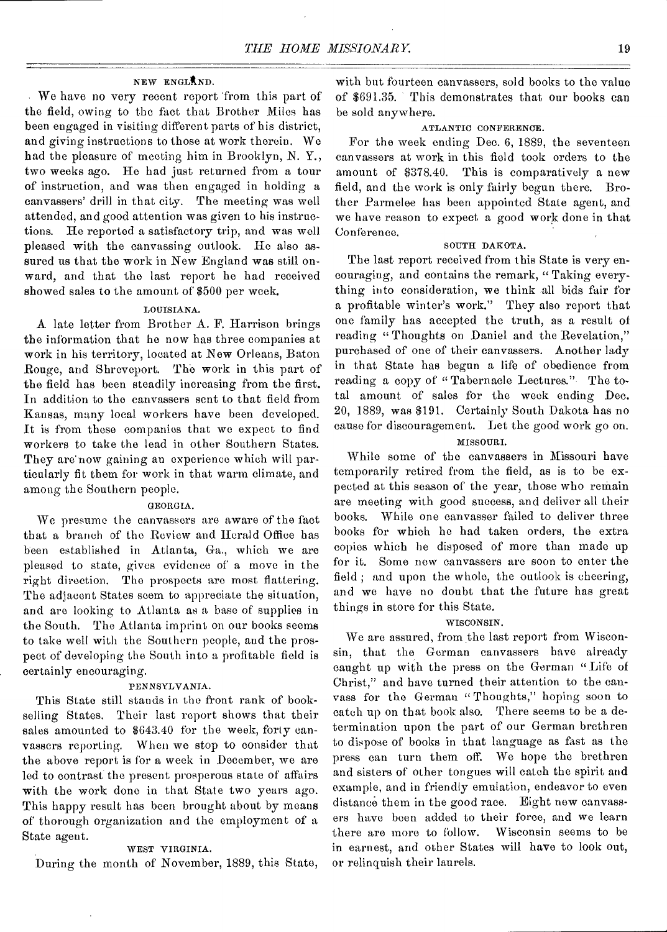## NEW ENGLAND.

• We have no very recent report 'from this part of the field, owing to the fact that Brother Miles has been engaged in visiting different parts of his district, and giving instructions to those at work therein. We had the pleasure of meeting him in Brooklyn, N. Y., two weeks ago. Ho had just returned from a tour of instruction, and was then engaged in holding a canvassers' drill in that city. The meeting was well attended, and good attention was given to his instructions. He reported a satisfactory trip, and was well pleased with the canvassing outlook. He also assured us that the work in New England was still onward, and that the last report he had received showed sales to the amount of \$500 per week.

# LOUISIANA.

A late letter from Brother A. F. Harrison brings the information that he now has three companies at work in his territory, located at Now Orleans, Baton Rouge, and Shreveport. The work in this part of the field has been steadily increasing from the first. In addition to the canvassers sent to that field from Kansas, many local workers have been developed. It is from these companies that we expect to find workers to take the lead in other Southern States. They are' now gaining an experience which will particularly fit them for work in that warm climate, and among the Southern people.

# GEORGIA.

We presume the canvassers are aware of the fact that a branch of the Review and Herald Office has been established in Atlanta, Ga., which we are pleased to state, gives evidence of a move in the right direction. The prospects aro most flattering. The adjacent States seem to appreciate the situation, and are looking to Atlanta as a base of supplies in the South. The Atlanta imprint on our books seems to take well with the Southern people, and the prospect of developing the South into a profitable field is certainly encouraging.

### PENNSYLVANIA.

This State still stands in the front rank of bookselling States. Their last report shows that their sales amounted to \$643.40 for the week, forty canvassers reporting. When we stop to consider that the above report is for a week in December, we are led to contrast the present prosperous state of affairs with the work done in that State two years ago. This happy result has been brought about by means of thorough organization and the employment of a State agent.

### WEST VIRGINIA.

During the month of November, 1889, this State,

with but fourteen canvassers, sold books to the value of \$691.35. This demonstrates that our books can be sold anywhere.

### ATLANTIC CONFERENCE.

For the week ending Dec. 6, 1889, the seventeen canvassers at work in this field took orders to the amount of \$378.40. This is comparatively a new field, and the work is only fairly begun there. Brother Parmelee has been appointed State agent, and we have reason to expect a good work done in that Conference.

# SOUTH DAKOTA.

The last report received from this State is very encouraging, and contains the remark, "Taking everything into consideration, we think all bids fair for a profitable winter's work." They also report that one family has accepted the truth, as a result of reading "Thoughts on Daniel and the Revelation," purchased of one of their canvassers. Another lady in that State has begun a life of obedience from reading a copy of "Tabernacle Lectures." The total amount of sales for the week ending Dec. 20, 1889, was \$191. Certainly South Dakota has no cause for discouragement. Let the good work go on.

# MISSOURI.

While some of the canvassers in Missouri have temporarily retired from the field, as is to be expected at this season of the year, those who remain are meeting with good success, and deliver all their books. While one canvasser failed to deliver three books for which he had taken orders, the extra copies which he disposed of more than made up for it. Some new canvassers are soon to enter the field ; and upon the whole, the outlook is cheering, and we have no doubt that the future has great things in store for this State.

## WISCONSIN.

We are assured, from the last report from Wisconsin, that the German canvassers have already caught up with the press on the German "Life of Christ," and have turned their attention to the canvass for the German " Thoughts," hoping soon to catch up on that book also. There seems to be a determination upon the part of our German brethren to dispose of books in that language as fast as the press can turn them off. We hope the brethren and sisters of other tongues will catch the spirit and example, and in friendly emulation, endeavor to even distance them in the good race. Eight now canvassers have been added to their force, and we learn there are more to follow. Wisconsin seems to be in earnest, and other States will have to look out, or relinquish their laurels.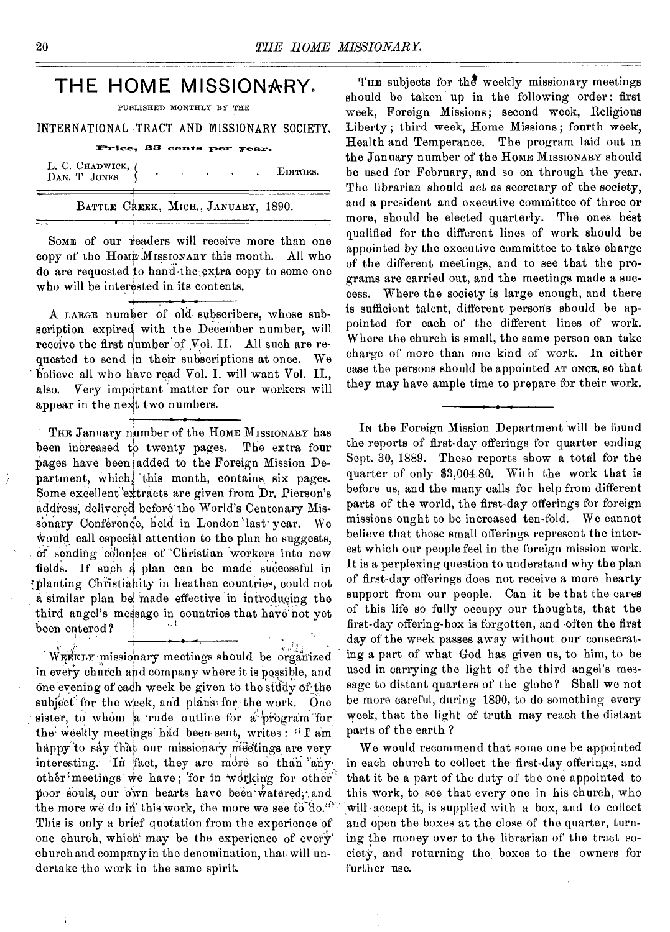# **THE HOME MISSIONARY.**

PUBLISHED MONTHLY BY THE

INTERNATIONAL !TRACT AND MISSIONARY SOCIETY.

| Price, 25 cents per year. |  |  |
|---------------------------|--|--|

| L. C. CHADWICK, V<br>DAN. T JONES   |  |  | EDITORS. |
|-------------------------------------|--|--|----------|
| BATTLE CREEK, MICH., JANUARY, 1890. |  |  |          |

SOME of our readers will receive more than one copy of the HOME ,MISSIONARY this month. All who do are requested to hand the extra copy to some one who will be interested in its contents.

A LARGE number of old subscribers, whose subscription expired with the December number, will receive the first number of Vol. II. All such are requested to send in their subscriptions at once. We believe all who have read Vol. I. will want Vol. II., also. Very important 'matter for our workers will appear in the next two numbers.

THE January number of the HOME MISSIONARY has been increased to twenty pages. The extra four pages have been added to the Foreign Mission Department, which, this month, contains six pages. Some excellent 'eXtracts are given from Dr. Pierson's address; delivered before the World's Centenary Missonary Conference, held in London last year. We would call especial attention to the plan he suggests, of sending colonies of Christian workers into new fields. If such a plan can be made successful in 'planting Christianity in heathen countries, could not a similar plan be made effective in introducing the third angel's message in countries that have not yet been entered?

WEEKLY missionary meetings should be organized in every church and company where it is possible, and One evening of each week be giren to the study of the subject' for the Week, and plans for, the work. One sister, to whom  $|a|$  rude outline for a program for the weekly meetings had been sent, writes : "I' am happy to say that our missionary meetings are very interesting. 'In fact, they are more so than 'any, other meetings we have; for in working for other poor souls, our own hearts have been watered; and the more we do in this work, the more we see  $\mathfrak{t}$  do." This is only a brief quotation from the experience of one church, which' may be the experience of every' church and company in the denomination, that will undertake the work in the same spirit.

THE subjects for the weekly missionary meetings should be taken up in the following order: first week, Foreign Missions; second week, Religious Liberty ; third week, Home Missions ; fourth week, Health and Temperance. The program laid out in the January number of the HOME MISSIONARY should be used for February, and so on through the year. The librarian should act as secretary of the society, and a president and executive committee of three or more, should be elected quarterly. The ones best qualified for the different lines of work should be appointed by the executive committee to take charge of the different meetings, and to see that the programs are carried out, and the meetings made a success. Where the society is large enough, and there is sufficient talent, different persons should be appointed for each of the different lines of work. Where the church is small, the same person can take charge of more than one kind of work. In either case the persons should be appointed AT ONCE, so that they may have ample time to prepare for their work.

IN the Foreign Mission Department will be found the reports of first-day offerings for quarter ending Sept. 30, 1889. These reports show a total for the quarter of only \$3,004.80. With the work that is before us, and the many calls for help from different parts of the world, the first-day offerings for foreign missions ought to be increased ten-fold. We cannot believe that these small offerings represent the interest which our people feel in the foreign mission work. It is a perplexing question to understand why the plan of first-day offerings does not receive a more hearty support from our people. Can it be that the cares of this life so fully occupy our thoughts, that the first-day offering-box is forgotten, and often the first day of the week passes away without our consecrating a part of what God has given us, to him, to be used in carrying the light of the third angel's message to distant quarters of the globe? Shall we not be more careful, during 1890, to do something every week, that the light of truth may reach the distant parts of the earth ?

We would recommend that some one be appointed in each church to collect the first-day offerings, and that it be a part of the duty of the one appointed to this work, to see that every one in his church, who will accept it, is supplied with a box, and to collect and open the boxes at the close of the quarter, turning the money over to the librarian of the tract society, and returning the boxes to the owners for further use.

ž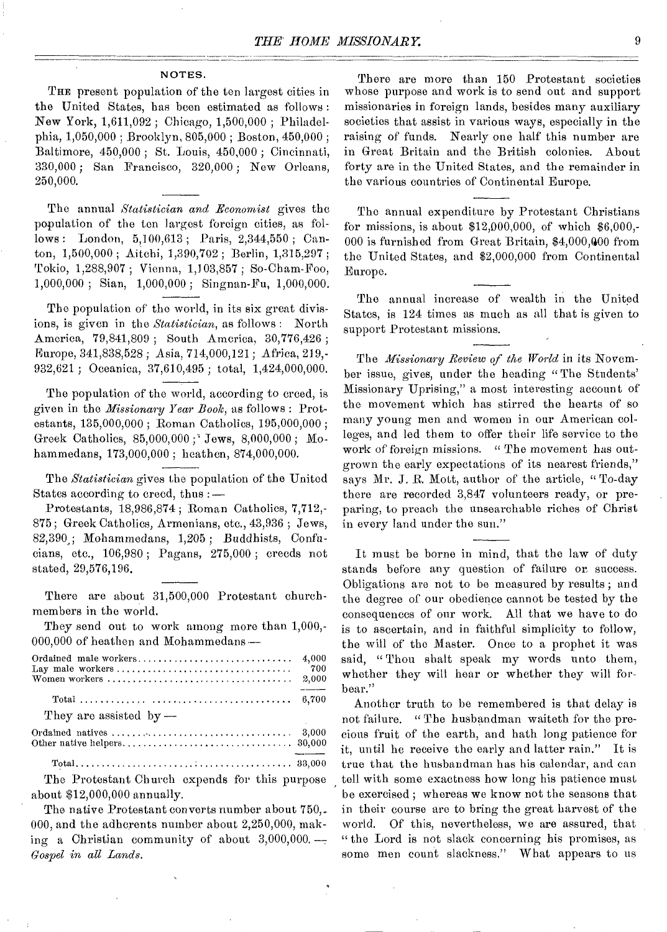#### NOTES.

THE present population of the ten largest cities in the United States, has been estimated as follows : New York, 1,611,092 ; Chicago, 1,500,000 ; Philadelphia, 1,050,000 ; Brooklyn, 805,000 ; Boston, 450,000 ; Baltimore, 450,000 ; St. Louis, 450,000 ; Cincinnati, 330,000 ; San Francisco, 320,000 ; New Orleans, 250,000.

The annual *Statistician and Economist* gives the population of the ten largest foreign cities, as follows : London, 5,100,613 ; Paris, 2,344,550 ; Canton, 1,500,000 ; Aitchi, 1,390,702 ; Berlin, 1,315,297 ; Tokio, 1,288,907 ; Vienna, 1,103,857 ; So-Cham-Foo, 1,000,000 ; Sian, 1,000,000 ; Singnan-Fu, 1,000,000.

The population of the world, in its six great divisions, is given in the *Statistician,* as follows : North America, 79,841,809 ; South America, 30,776,426 ; Europe, 341,838,528 ; Asia, 714,000,121; Africa, 219,- 932,621 ; Oceanica, 37,610,495 ; total, 1,424,000,000.

The population of the world, according to creed, is given in the *Missionary Year Book,* as follows : Protestants, 135,000,000 ; Roman Catholics, 195,000,000 ; Greek Catholics, 85,000,000 ;' Jews, 8,000,000 ; Mohammedans, 173,000,000 ; heathen, 874,000,000.

The *Statistician* gives the population of the United States according to creed, thus :—

Protestants, 18,986,874 ; Roman Catholics, 7,712,- 875; Greek Catholics, Armenians, etc., 43,936 ; Jews, 82,390.,; Mohammedans, 1,205 ; Buddhists, Confucians, etc., 106,980 ; Pagans, 275,000 ; creeds not stated, 29,576,196.

There are about 31,500,000 Protestant churchmembers in the world.

They send out to work among more than 1,000,- 000,000 of heathen and Mohammedans —

|                          | 4,000 |
|--------------------------|-------|
|                          | - 700 |
|                          | 2,000 |
|                          | 6.700 |
| They are assisted by $-$ |       |
|                          |       |
|                          |       |
|                          |       |

The Protestant Church expends for this purpose about \$12,000,000 annually.

The native Protestant converts number about 750,. 000, and the adherents number about 2,250,000, making a Christian community of about  $3,000,000$ . *Gospel in all Lands.* 

There are more than 150 Protestant societies whose purpose and work is to send out and support missionaries in foreign lands, besides many auxiliary societies that assist in various ways, especially in the raising of funds. Nearly one half this number are in Great Britain and the British colonies. About forty are in the United States, and the remainder in the various countries of Continental Europe.

The annual expenditure by Protestant Christians for missions, is about \$12,000,000, of which \$6,000,- 000 is furnished from Great Britain, \$4,000,400 from the United States, and \$2,000,000 from Continental Europe.

The annual increase of wealth in the United States, is 124 times as much as all that is given to support Protestant missions.

The *Missionary Review of the World* in its November issue, gives, under the heading "The Students' Missionary Uprising," a most interesting account of the movement which has stirred the hearts of so many young men and women in our American colleges, and led them to offer their life service to the work of foreign missions. " The movement has outgrown the early expectations of its nearest friends," says Mr. J. R. Mott, author of the article, " To-day there are recorded 3,847 volunteers ready, or preparing, to preach the unsearchable riches of Christ in every land under the sun."

It must be borne in mind, that the law of duty stands before any question of failure or success. Obligations are not to be measured by results ; and the degree of our obedience cannot be tested by the consequences of our work. All that we have to do is to ascertain, and in faithful simplicity to follow, the will of the Master. Once to a prophet it was said, "Thou shalt speak my words unto them, whether they will hear or whether they will forbear."

Another truth to be remembered is that delay is not failure. " The husbandman waiteth for the precious fruit of the earth, and hath long patience for it, until he receive the early and latter rain." It is true that the husbandman has his calendar, and can tell with some exactness how long his patience must be exercised ; whereas we know not the seasons that in their course are to bring the great harvest of the world. Of this, nevertheless, we are assured, that " the Lord is not slack concerning his promises, as some men count slackness." What appears to us